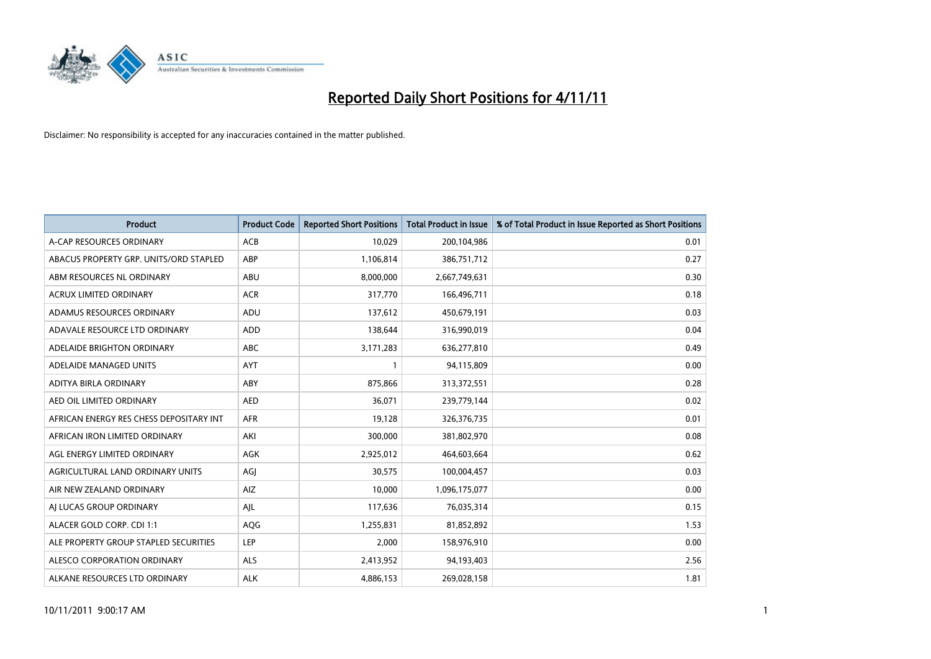

| <b>Product</b>                          | <b>Product Code</b> | <b>Reported Short Positions</b> | <b>Total Product in Issue</b> | % of Total Product in Issue Reported as Short Positions |
|-----------------------------------------|---------------------|---------------------------------|-------------------------------|---------------------------------------------------------|
| A-CAP RESOURCES ORDINARY                | <b>ACB</b>          | 10,029                          | 200,104,986                   | 0.01                                                    |
| ABACUS PROPERTY GRP. UNITS/ORD STAPLED  | ABP                 | 1,106,814                       | 386,751,712                   | 0.27                                                    |
| ABM RESOURCES NL ORDINARY               | <b>ABU</b>          | 8,000,000                       | 2,667,749,631                 | 0.30                                                    |
| ACRUX LIMITED ORDINARY                  | <b>ACR</b>          | 317,770                         | 166,496,711                   | 0.18                                                    |
| ADAMUS RESOURCES ORDINARY               | ADU                 | 137,612                         | 450,679,191                   | 0.03                                                    |
| ADAVALE RESOURCE LTD ORDINARY           | ADD                 | 138,644                         | 316,990,019                   | 0.04                                                    |
| ADELAIDE BRIGHTON ORDINARY              | <b>ABC</b>          | 3,171,283                       | 636,277,810                   | 0.49                                                    |
| ADELAIDE MANAGED UNITS                  | <b>AYT</b>          |                                 | 94,115,809                    | 0.00                                                    |
| ADITYA BIRLA ORDINARY                   | ABY                 | 875,866                         | 313,372,551                   | 0.28                                                    |
| AED OIL LIMITED ORDINARY                | <b>AED</b>          | 36,071                          | 239,779,144                   | 0.02                                                    |
| AFRICAN ENERGY RES CHESS DEPOSITARY INT | <b>AFR</b>          | 19,128                          | 326,376,735                   | 0.01                                                    |
| AFRICAN IRON LIMITED ORDINARY           | AKI                 | 300,000                         | 381,802,970                   | 0.08                                                    |
| AGL ENERGY LIMITED ORDINARY             | <b>AGK</b>          | 2,925,012                       | 464,603,664                   | 0.62                                                    |
| AGRICULTURAL LAND ORDINARY UNITS        | AGI                 | 30,575                          | 100,004,457                   | 0.03                                                    |
| AIR NEW ZEALAND ORDINARY                | AIZ                 | 10,000                          | 1,096,175,077                 | 0.00                                                    |
| AI LUCAS GROUP ORDINARY                 | AJL                 | 117,636                         | 76,035,314                    | 0.15                                                    |
| ALACER GOLD CORP. CDI 1:1               | AQG                 | 1,255,831                       | 81,852,892                    | 1.53                                                    |
| ALE PROPERTY GROUP STAPLED SECURITIES   | LEP                 | 2,000                           | 158,976,910                   | 0.00                                                    |
| ALESCO CORPORATION ORDINARY             | <b>ALS</b>          | 2,413,952                       | 94,193,403                    | 2.56                                                    |
| ALKANE RESOURCES LTD ORDINARY           | <b>ALK</b>          | 4,886,153                       | 269,028,158                   | 1.81                                                    |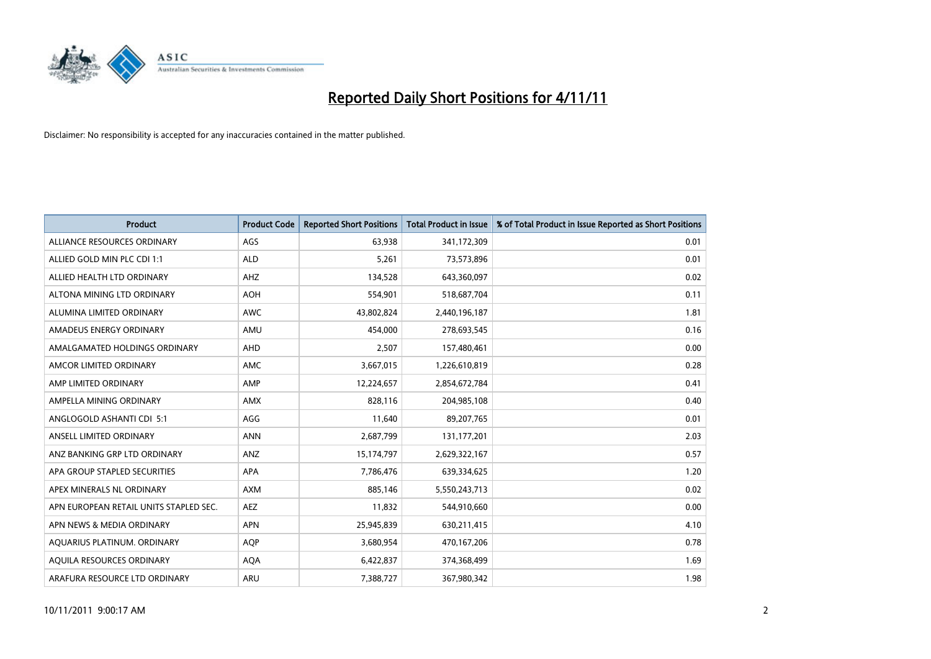

| <b>Product</b>                         | <b>Product Code</b> | <b>Reported Short Positions</b> | <b>Total Product in Issue</b> | % of Total Product in Issue Reported as Short Positions |
|----------------------------------------|---------------------|---------------------------------|-------------------------------|---------------------------------------------------------|
| ALLIANCE RESOURCES ORDINARY            | AGS                 | 63.938                          | 341,172,309                   | 0.01                                                    |
| ALLIED GOLD MIN PLC CDI 1:1            | <b>ALD</b>          | 5,261                           | 73,573,896                    | 0.01                                                    |
| ALLIED HEALTH LTD ORDINARY             | AHZ                 | 134,528                         | 643,360,097                   | 0.02                                                    |
| ALTONA MINING LTD ORDINARY             | <b>AOH</b>          | 554,901                         | 518,687,704                   | 0.11                                                    |
| ALUMINA LIMITED ORDINARY               | <b>AWC</b>          | 43,802,824                      | 2,440,196,187                 | 1.81                                                    |
| AMADEUS ENERGY ORDINARY                | AMU                 | 454,000                         | 278,693,545                   | 0.16                                                    |
| AMALGAMATED HOLDINGS ORDINARY          | <b>AHD</b>          | 2,507                           | 157,480,461                   | 0.00                                                    |
| AMCOR LIMITED ORDINARY                 | <b>AMC</b>          | 3,667,015                       | 1,226,610,819                 | 0.28                                                    |
| AMP LIMITED ORDINARY                   | AMP                 | 12,224,657                      | 2,854,672,784                 | 0.41                                                    |
| AMPELLA MINING ORDINARY                | <b>AMX</b>          | 828,116                         | 204,985,108                   | 0.40                                                    |
| ANGLOGOLD ASHANTI CDI 5:1              | AGG                 | 11,640                          | 89,207,765                    | 0.01                                                    |
| ANSELL LIMITED ORDINARY                | <b>ANN</b>          | 2,687,799                       | 131,177,201                   | 2.03                                                    |
| ANZ BANKING GRP LTD ORDINARY           | ANZ                 | 15,174,797                      | 2,629,322,167                 | 0.57                                                    |
| APA GROUP STAPLED SECURITIES           | <b>APA</b>          | 7,786,476                       | 639,334,625                   | 1.20                                                    |
| APEX MINERALS NL ORDINARY              | <b>AXM</b>          | 885.146                         | 5,550,243,713                 | 0.02                                                    |
| APN EUROPEAN RETAIL UNITS STAPLED SEC. | <b>AEZ</b>          | 11,832                          | 544,910,660                   | 0.00                                                    |
| APN NEWS & MEDIA ORDINARY              | <b>APN</b>          | 25,945,839                      | 630,211,415                   | 4.10                                                    |
| AQUARIUS PLATINUM. ORDINARY            | <b>AOP</b>          | 3,680,954                       | 470,167,206                   | 0.78                                                    |
| <b>AOUILA RESOURCES ORDINARY</b>       | <b>AQA</b>          | 6,422,837                       | 374,368,499                   | 1.69                                                    |
| ARAFURA RESOURCE LTD ORDINARY          | <b>ARU</b>          | 7,388,727                       | 367,980,342                   | 1.98                                                    |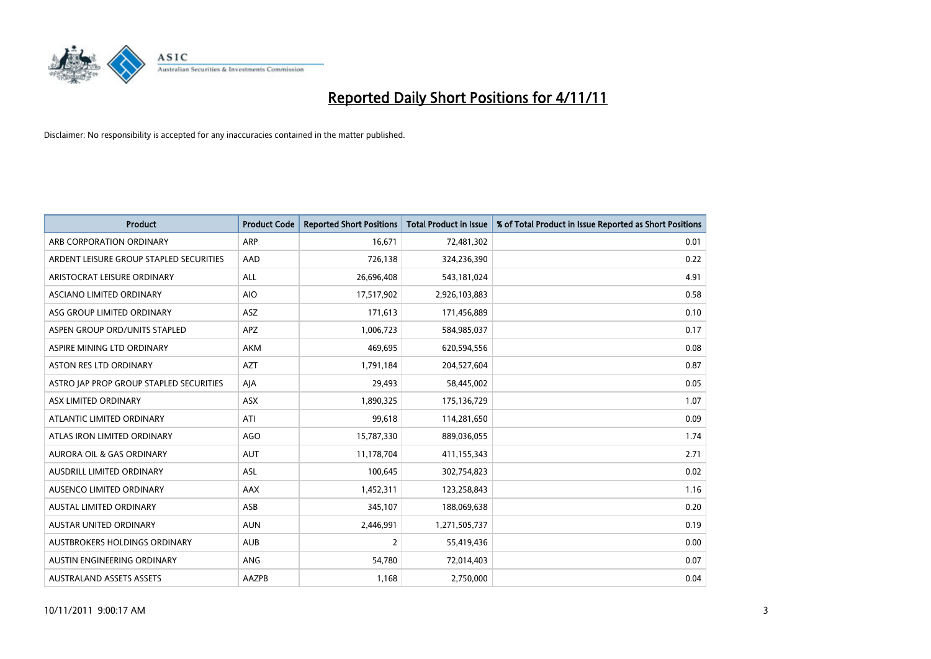

| <b>Product</b>                          | <b>Product Code</b> | <b>Reported Short Positions</b> | <b>Total Product in Issue</b> | % of Total Product in Issue Reported as Short Positions |
|-----------------------------------------|---------------------|---------------------------------|-------------------------------|---------------------------------------------------------|
| ARB CORPORATION ORDINARY                | <b>ARP</b>          | 16,671                          | 72,481,302                    | 0.01                                                    |
| ARDENT LEISURE GROUP STAPLED SECURITIES | AAD                 | 726,138                         | 324,236,390                   | 0.22                                                    |
| ARISTOCRAT LEISURE ORDINARY             | <b>ALL</b>          | 26,696,408                      | 543,181,024                   | 4.91                                                    |
| ASCIANO LIMITED ORDINARY                | <b>AIO</b>          | 17,517,902                      | 2,926,103,883                 | 0.58                                                    |
| ASG GROUP LIMITED ORDINARY              | <b>ASZ</b>          | 171,613                         | 171,456,889                   | 0.10                                                    |
| ASPEN GROUP ORD/UNITS STAPLED           | <b>APZ</b>          | 1,006,723                       | 584,985,037                   | 0.17                                                    |
| ASPIRE MINING LTD ORDINARY              | <b>AKM</b>          | 469,695                         | 620,594,556                   | 0.08                                                    |
| ASTON RES LTD ORDINARY                  | <b>AZT</b>          | 1,791,184                       | 204,527,604                   | 0.87                                                    |
| ASTRO JAP PROP GROUP STAPLED SECURITIES | AIA                 | 29,493                          | 58,445,002                    | 0.05                                                    |
| ASX LIMITED ORDINARY                    | <b>ASX</b>          | 1,890,325                       | 175,136,729                   | 1.07                                                    |
| ATLANTIC LIMITED ORDINARY               | ATI                 | 99,618                          | 114,281,650                   | 0.09                                                    |
| ATLAS IRON LIMITED ORDINARY             | AGO                 | 15,787,330                      | 889,036,055                   | 1.74                                                    |
| AURORA OIL & GAS ORDINARY               | AUT                 | 11,178,704                      | 411,155,343                   | 2.71                                                    |
| AUSDRILL LIMITED ORDINARY               | ASL                 | 100,645                         | 302,754,823                   | 0.02                                                    |
| AUSENCO LIMITED ORDINARY                | <b>AAX</b>          | 1,452,311                       | 123,258,843                   | 1.16                                                    |
| AUSTAL LIMITED ORDINARY                 | ASB                 | 345,107                         | 188,069,638                   | 0.20                                                    |
| AUSTAR UNITED ORDINARY                  | <b>AUN</b>          | 2,446,991                       | 1,271,505,737                 | 0.19                                                    |
| AUSTBROKERS HOLDINGS ORDINARY           | <b>AUB</b>          | 2                               | 55,419,436                    | 0.00                                                    |
| AUSTIN ENGINEERING ORDINARY             | <b>ANG</b>          | 54,780                          | 72,014,403                    | 0.07                                                    |
| <b>AUSTRALAND ASSETS ASSETS</b>         | AAZPB               | 1,168                           | 2,750,000                     | 0.04                                                    |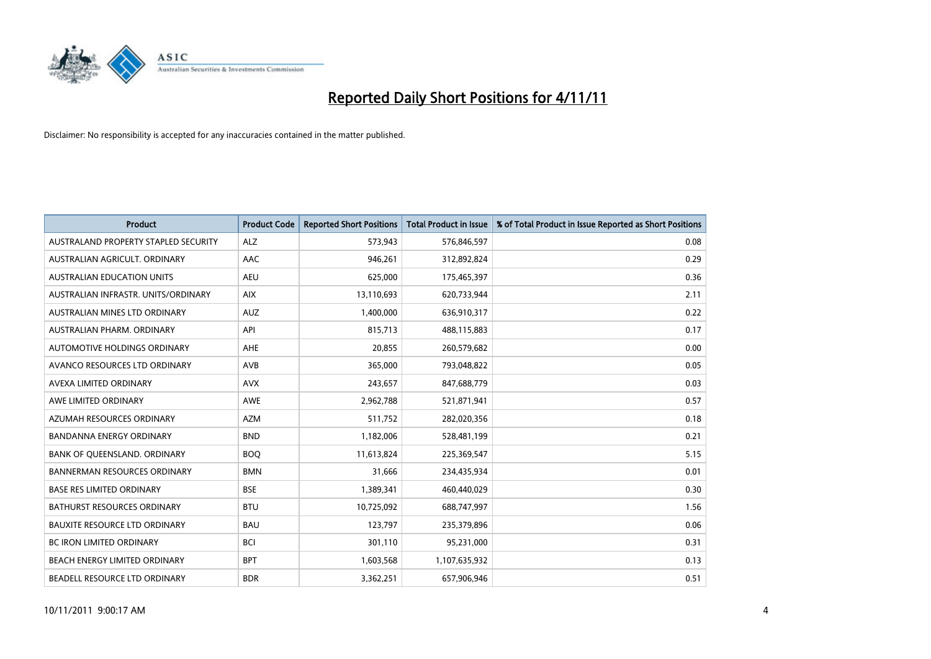

| <b>Product</b>                       | <b>Product Code</b> | <b>Reported Short Positions</b> | <b>Total Product in Issue</b> | % of Total Product in Issue Reported as Short Positions |
|--------------------------------------|---------------------|---------------------------------|-------------------------------|---------------------------------------------------------|
| AUSTRALAND PROPERTY STAPLED SECURITY | <b>ALZ</b>          | 573,943                         | 576,846,597                   | 0.08                                                    |
| AUSTRALIAN AGRICULT. ORDINARY        | AAC                 | 946,261                         | 312,892,824                   | 0.29                                                    |
| <b>AUSTRALIAN EDUCATION UNITS</b>    | <b>AEU</b>          | 625,000                         | 175,465,397                   | 0.36                                                    |
| AUSTRALIAN INFRASTR. UNITS/ORDINARY  | <b>AIX</b>          | 13,110,693                      | 620,733,944                   | 2.11                                                    |
| AUSTRALIAN MINES LTD ORDINARY        | <b>AUZ</b>          | 1,400,000                       | 636,910,317                   | 0.22                                                    |
| AUSTRALIAN PHARM, ORDINARY           | API                 | 815,713                         | 488,115,883                   | 0.17                                                    |
| AUTOMOTIVE HOLDINGS ORDINARY         | <b>AHE</b>          | 20,855                          | 260,579,682                   | 0.00                                                    |
| AVANCO RESOURCES LTD ORDINARY        | <b>AVB</b>          | 365,000                         | 793,048,822                   | 0.05                                                    |
| AVEXA LIMITED ORDINARY               | <b>AVX</b>          | 243,657                         | 847,688,779                   | 0.03                                                    |
| AWE LIMITED ORDINARY                 | <b>AWE</b>          | 2,962,788                       | 521,871,941                   | 0.57                                                    |
| AZUMAH RESOURCES ORDINARY            | <b>AZM</b>          | 511,752                         | 282,020,356                   | 0.18                                                    |
| <b>BANDANNA ENERGY ORDINARY</b>      | <b>BND</b>          | 1,182,006                       | 528,481,199                   | 0.21                                                    |
| BANK OF QUEENSLAND. ORDINARY         | <b>BOQ</b>          | 11,613,824                      | 225,369,547                   | 5.15                                                    |
| <b>BANNERMAN RESOURCES ORDINARY</b>  | <b>BMN</b>          | 31,666                          | 234,435,934                   | 0.01                                                    |
| <b>BASE RES LIMITED ORDINARY</b>     | <b>BSE</b>          | 1,389,341                       | 460,440,029                   | 0.30                                                    |
| BATHURST RESOURCES ORDINARY          | <b>BTU</b>          | 10,725,092                      | 688,747,997                   | 1.56                                                    |
| <b>BAUXITE RESOURCE LTD ORDINARY</b> | <b>BAU</b>          | 123,797                         | 235,379,896                   | 0.06                                                    |
| <b>BC IRON LIMITED ORDINARY</b>      | <b>BCI</b>          | 301,110                         | 95,231,000                    | 0.31                                                    |
| BEACH ENERGY LIMITED ORDINARY        | <b>BPT</b>          | 1,603,568                       | 1,107,635,932                 | 0.13                                                    |
| BEADELL RESOURCE LTD ORDINARY        | <b>BDR</b>          | 3,362,251                       | 657,906,946                   | 0.51                                                    |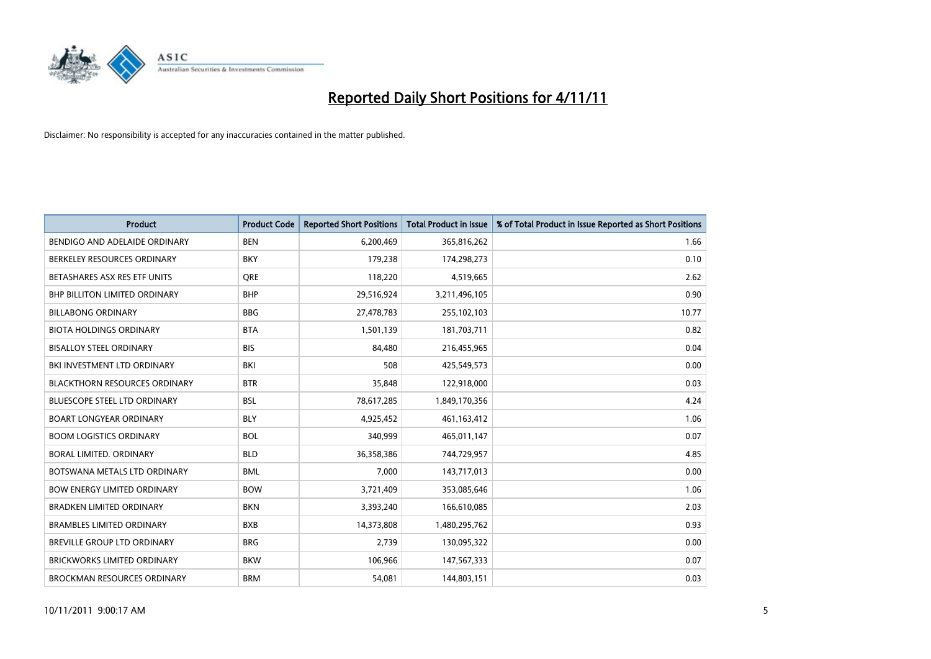

| <b>Product</b>                       | <b>Product Code</b> | <b>Reported Short Positions</b> | <b>Total Product in Issue</b> | % of Total Product in Issue Reported as Short Positions |
|--------------------------------------|---------------------|---------------------------------|-------------------------------|---------------------------------------------------------|
| BENDIGO AND ADELAIDE ORDINARY        | <b>BEN</b>          | 6,200,469                       | 365,816,262                   | 1.66                                                    |
| BERKELEY RESOURCES ORDINARY          | <b>BKY</b>          | 179,238                         | 174,298,273                   | 0.10                                                    |
| BETASHARES ASX RES ETF UNITS         | <b>ORE</b>          | 118,220                         | 4,519,665                     | 2.62                                                    |
| BHP BILLITON LIMITED ORDINARY        | <b>BHP</b>          | 29,516,924                      | 3,211,496,105                 | 0.90                                                    |
| <b>BILLABONG ORDINARY</b>            | <b>BBG</b>          | 27,478,783                      | 255,102,103                   | 10.77                                                   |
| <b>BIOTA HOLDINGS ORDINARY</b>       | <b>BTA</b>          | 1,501,139                       | 181,703,711                   | 0.82                                                    |
| <b>BISALLOY STEEL ORDINARY</b>       | <b>BIS</b>          | 84.480                          | 216,455,965                   | 0.04                                                    |
| BKI INVESTMENT LTD ORDINARY          | BKI                 | 508                             | 425,549,573                   | 0.00                                                    |
| <b>BLACKTHORN RESOURCES ORDINARY</b> | <b>BTR</b>          | 35,848                          | 122,918,000                   | 0.03                                                    |
| <b>BLUESCOPE STEEL LTD ORDINARY</b>  | <b>BSL</b>          | 78,617,285                      | 1,849,170,356                 | 4.24                                                    |
| <b>BOART LONGYEAR ORDINARY</b>       | <b>BLY</b>          | 4,925,452                       | 461,163,412                   | 1.06                                                    |
| <b>BOOM LOGISTICS ORDINARY</b>       | <b>BOL</b>          | 340,999                         | 465,011,147                   | 0.07                                                    |
| BORAL LIMITED, ORDINARY              | <b>BLD</b>          | 36,358,386                      | 744,729,957                   | 4.85                                                    |
| BOTSWANA METALS LTD ORDINARY         | <b>BML</b>          | 7,000                           | 143,717,013                   | 0.00                                                    |
| <b>BOW ENERGY LIMITED ORDINARY</b>   | <b>BOW</b>          | 3,721,409                       | 353,085,646                   | 1.06                                                    |
| <b>BRADKEN LIMITED ORDINARY</b>      | <b>BKN</b>          | 3,393,240                       | 166,610,085                   | 2.03                                                    |
| <b>BRAMBLES LIMITED ORDINARY</b>     | <b>BXB</b>          | 14,373,808                      | 1,480,295,762                 | 0.93                                                    |
| BREVILLE GROUP LTD ORDINARY          | <b>BRG</b>          | 2,739                           | 130,095,322                   | 0.00                                                    |
| <b>BRICKWORKS LIMITED ORDINARY</b>   | <b>BKW</b>          | 106,966                         | 147,567,333                   | 0.07                                                    |
| <b>BROCKMAN RESOURCES ORDINARY</b>   | <b>BRM</b>          | 54,081                          | 144,803,151                   | 0.03                                                    |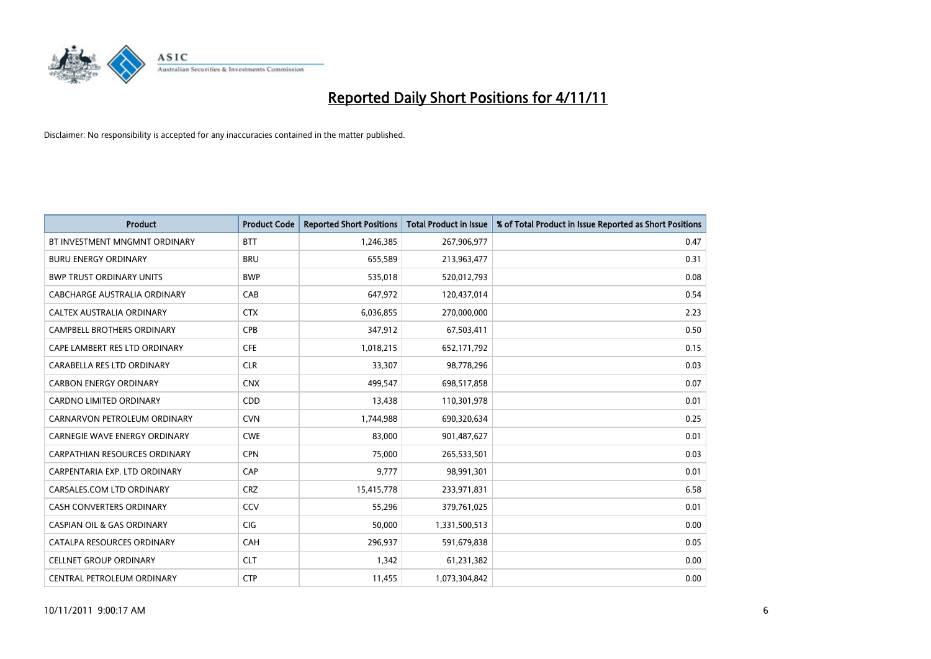

| <b>Product</b>                        | <b>Product Code</b> | <b>Reported Short Positions</b> | <b>Total Product in Issue</b> | % of Total Product in Issue Reported as Short Positions |
|---------------------------------------|---------------------|---------------------------------|-------------------------------|---------------------------------------------------------|
| BT INVESTMENT MNGMNT ORDINARY         | <b>BTT</b>          | 1,246,385                       | 267,906,977                   | 0.47                                                    |
| <b>BURU ENERGY ORDINARY</b>           | <b>BRU</b>          | 655,589                         | 213,963,477                   | 0.31                                                    |
| <b>BWP TRUST ORDINARY UNITS</b>       | <b>BWP</b>          | 535,018                         | 520,012,793                   | 0.08                                                    |
| CABCHARGE AUSTRALIA ORDINARY          | CAB                 | 647,972                         | 120,437,014                   | 0.54                                                    |
| CALTEX AUSTRALIA ORDINARY             | <b>CTX</b>          | 6,036,855                       | 270,000,000                   | 2.23                                                    |
| <b>CAMPBELL BROTHERS ORDINARY</b>     | <b>CPB</b>          | 347,912                         | 67,503,411                    | 0.50                                                    |
| CAPE LAMBERT RES LTD ORDINARY         | <b>CFE</b>          | 1,018,215                       | 652,171,792                   | 0.15                                                    |
| CARABELLA RES LTD ORDINARY            | <b>CLR</b>          | 33,307                          | 98,778,296                    | 0.03                                                    |
| <b>CARBON ENERGY ORDINARY</b>         | <b>CNX</b>          | 499,547                         | 698,517,858                   | 0.07                                                    |
| <b>CARDNO LIMITED ORDINARY</b>        | CDD                 | 13,438                          | 110,301,978                   | 0.01                                                    |
| CARNARVON PETROLEUM ORDINARY          | <b>CVN</b>          | 1,744,988                       | 690,320,634                   | 0.25                                                    |
| <b>CARNEGIE WAVE ENERGY ORDINARY</b>  | <b>CWE</b>          | 83,000                          | 901,487,627                   | 0.01                                                    |
| CARPATHIAN RESOURCES ORDINARY         | <b>CPN</b>          | 75.000                          | 265,533,501                   | 0.03                                                    |
| CARPENTARIA EXP. LTD ORDINARY         | CAP                 | 9,777                           | 98,991,301                    | 0.01                                                    |
| CARSALES.COM LTD ORDINARY             | <b>CRZ</b>          | 15,415,778                      | 233,971,831                   | 6.58                                                    |
| <b>CASH CONVERTERS ORDINARY</b>       | CCV                 | 55,296                          | 379,761,025                   | 0.01                                                    |
| <b>CASPIAN OIL &amp; GAS ORDINARY</b> | <b>CIG</b>          | 50,000                          | 1,331,500,513                 | 0.00                                                    |
| CATALPA RESOURCES ORDINARY            | <b>CAH</b>          | 296,937                         | 591,679,838                   | 0.05                                                    |
| <b>CELLNET GROUP ORDINARY</b>         | <b>CLT</b>          | 1,342                           | 61,231,382                    | 0.00                                                    |
| CENTRAL PETROLEUM ORDINARY            | <b>CTP</b>          | 11,455                          | 1,073,304,842                 | 0.00                                                    |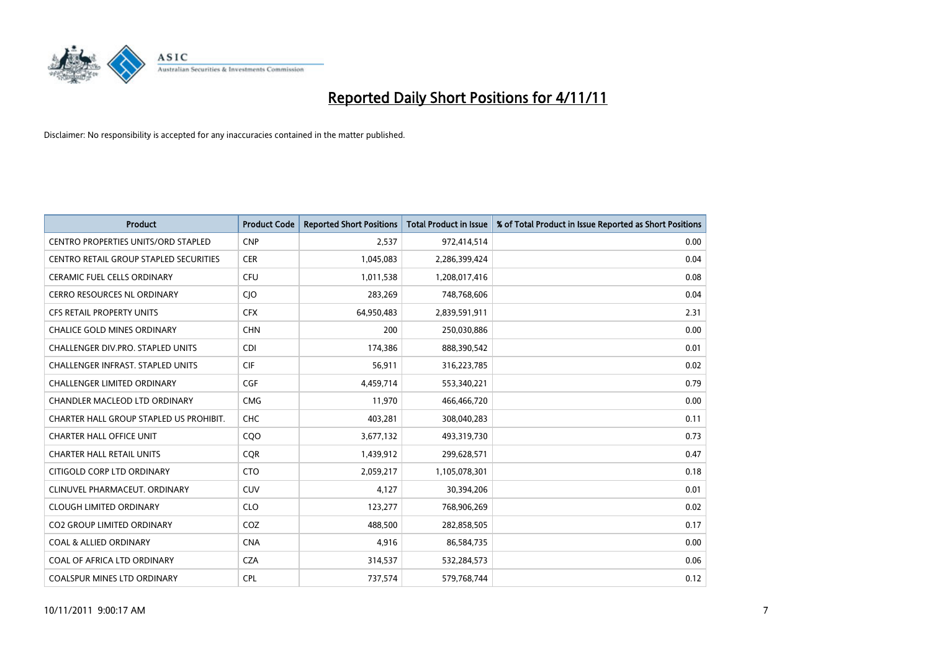

| <b>Product</b>                             | <b>Product Code</b> | <b>Reported Short Positions</b> | <b>Total Product in Issue</b> | % of Total Product in Issue Reported as Short Positions |
|--------------------------------------------|---------------------|---------------------------------|-------------------------------|---------------------------------------------------------|
| <b>CENTRO PROPERTIES UNITS/ORD STAPLED</b> | <b>CNP</b>          | 2,537                           | 972,414,514                   | 0.00                                                    |
| CENTRO RETAIL GROUP STAPLED SECURITIES     | <b>CER</b>          | 1,045,083                       | 2,286,399,424                 | 0.04                                                    |
| <b>CERAMIC FUEL CELLS ORDINARY</b>         | <b>CFU</b>          | 1,011,538                       | 1,208,017,416                 | 0.08                                                    |
| <b>CERRO RESOURCES NL ORDINARY</b>         | <b>CIO</b>          | 283,269                         | 748,768,606                   | 0.04                                                    |
| <b>CFS RETAIL PROPERTY UNITS</b>           | <b>CFX</b>          | 64,950,483                      | 2,839,591,911                 | 2.31                                                    |
| <b>CHALICE GOLD MINES ORDINARY</b>         | <b>CHN</b>          | 200                             | 250,030,886                   | 0.00                                                    |
| <b>CHALLENGER DIV.PRO. STAPLED UNITS</b>   | <b>CDI</b>          | 174,386                         | 888,390,542                   | 0.01                                                    |
| CHALLENGER INFRAST. STAPLED UNITS          | <b>CIF</b>          | 56,911                          | 316,223,785                   | 0.02                                                    |
| CHALLENGER LIMITED ORDINARY                | <b>CGF</b>          | 4,459,714                       | 553,340,221                   | 0.79                                                    |
| CHANDLER MACLEOD LTD ORDINARY              | <b>CMG</b>          | 11,970                          | 466,466,720                   | 0.00                                                    |
| CHARTER HALL GROUP STAPLED US PROHIBIT.    | CHC                 | 403,281                         | 308,040,283                   | 0.11                                                    |
| CHARTER HALL OFFICE UNIT                   | COO                 | 3,677,132                       | 493,319,730                   | 0.73                                                    |
| <b>CHARTER HALL RETAIL UNITS</b>           | <b>COR</b>          | 1,439,912                       | 299,628,571                   | 0.47                                                    |
| CITIGOLD CORP LTD ORDINARY                 | <b>CTO</b>          | 2,059,217                       | 1,105,078,301                 | 0.18                                                    |
| CLINUVEL PHARMACEUT, ORDINARY              | CUV                 | 4,127                           | 30,394,206                    | 0.01                                                    |
| <b>CLOUGH LIMITED ORDINARY</b>             | <b>CLO</b>          | 123,277                         | 768,906,269                   | 0.02                                                    |
| <b>CO2 GROUP LIMITED ORDINARY</b>          | COZ                 | 488,500                         | 282,858,505                   | 0.17                                                    |
| <b>COAL &amp; ALLIED ORDINARY</b>          | <b>CNA</b>          | 4,916                           | 86,584,735                    | 0.00                                                    |
| COAL OF AFRICA LTD ORDINARY                | <b>CZA</b>          | 314,537                         | 532,284,573                   | 0.06                                                    |
| COALSPUR MINES LTD ORDINARY                | <b>CPL</b>          | 737,574                         | 579,768,744                   | 0.12                                                    |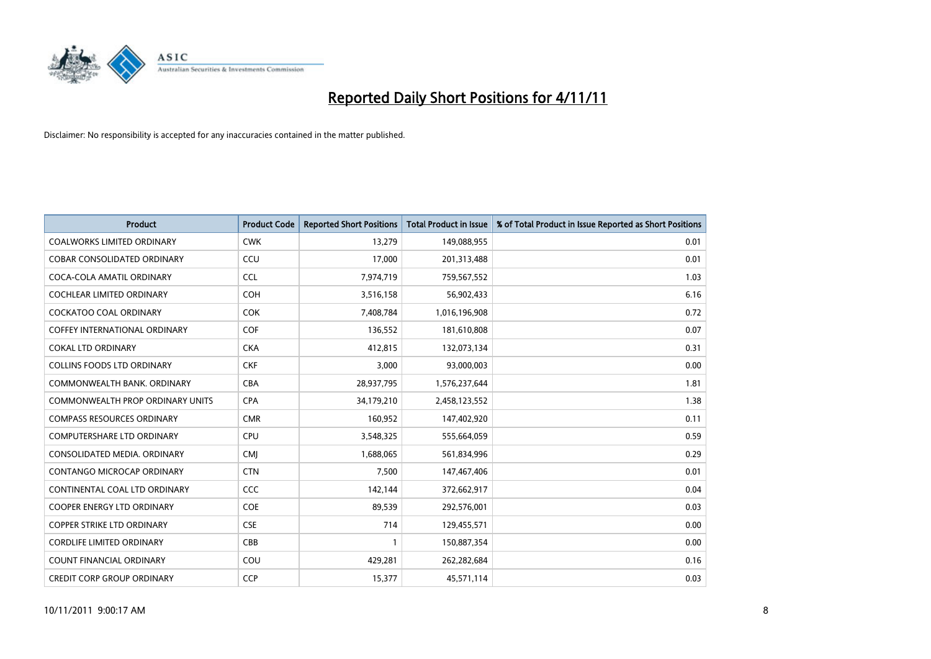

| <b>Product</b>                       | <b>Product Code</b> | <b>Reported Short Positions</b> | <b>Total Product in Issue</b> | % of Total Product in Issue Reported as Short Positions |
|--------------------------------------|---------------------|---------------------------------|-------------------------------|---------------------------------------------------------|
| <b>COALWORKS LIMITED ORDINARY</b>    | <b>CWK</b>          | 13,279                          | 149,088,955                   | 0.01                                                    |
| COBAR CONSOLIDATED ORDINARY          | CCU                 | 17,000                          | 201,313,488                   | 0.01                                                    |
| COCA-COLA AMATIL ORDINARY            | <b>CCL</b>          | 7,974,719                       | 759,567,552                   | 1.03                                                    |
| COCHLEAR LIMITED ORDINARY            | <b>COH</b>          | 3,516,158                       | 56,902,433                    | 6.16                                                    |
| <b>COCKATOO COAL ORDINARY</b>        | <b>COK</b>          | 7,408,784                       | 1,016,196,908                 | 0.72                                                    |
| <b>COFFEY INTERNATIONAL ORDINARY</b> | <b>COF</b>          | 136,552                         | 181,610,808                   | 0.07                                                    |
| <b>COKAL LTD ORDINARY</b>            | <b>CKA</b>          | 412.815                         | 132,073,134                   | 0.31                                                    |
| <b>COLLINS FOODS LTD ORDINARY</b>    | <b>CKF</b>          | 3,000                           | 93,000,003                    | 0.00                                                    |
| COMMONWEALTH BANK, ORDINARY          | <b>CBA</b>          | 28,937,795                      | 1,576,237,644                 | 1.81                                                    |
| COMMONWEALTH PROP ORDINARY UNITS     | <b>CPA</b>          | 34,179,210                      | 2,458,123,552                 | 1.38                                                    |
| <b>COMPASS RESOURCES ORDINARY</b>    | <b>CMR</b>          | 160,952                         | 147,402,920                   | 0.11                                                    |
| <b>COMPUTERSHARE LTD ORDINARY</b>    | CPU                 | 3,548,325                       | 555,664,059                   | 0.59                                                    |
| CONSOLIDATED MEDIA. ORDINARY         | <b>CMI</b>          | 1,688,065                       | 561,834,996                   | 0.29                                                    |
| <b>CONTANGO MICROCAP ORDINARY</b>    | <b>CTN</b>          | 7,500                           | 147,467,406                   | 0.01                                                    |
| CONTINENTAL COAL LTD ORDINARY        | <b>CCC</b>          | 142,144                         | 372,662,917                   | 0.04                                                    |
| COOPER ENERGY LTD ORDINARY           | <b>COE</b>          | 89,539                          | 292,576,001                   | 0.03                                                    |
| <b>COPPER STRIKE LTD ORDINARY</b>    | <b>CSE</b>          | 714                             | 129,455,571                   | 0.00                                                    |
| <b>CORDLIFE LIMITED ORDINARY</b>     | CBB                 |                                 | 150,887,354                   | 0.00                                                    |
| <b>COUNT FINANCIAL ORDINARY</b>      | COU                 | 429,281                         | 262,282,684                   | 0.16                                                    |
| <b>CREDIT CORP GROUP ORDINARY</b>    | <b>CCP</b>          | 15,377                          | 45,571,114                    | 0.03                                                    |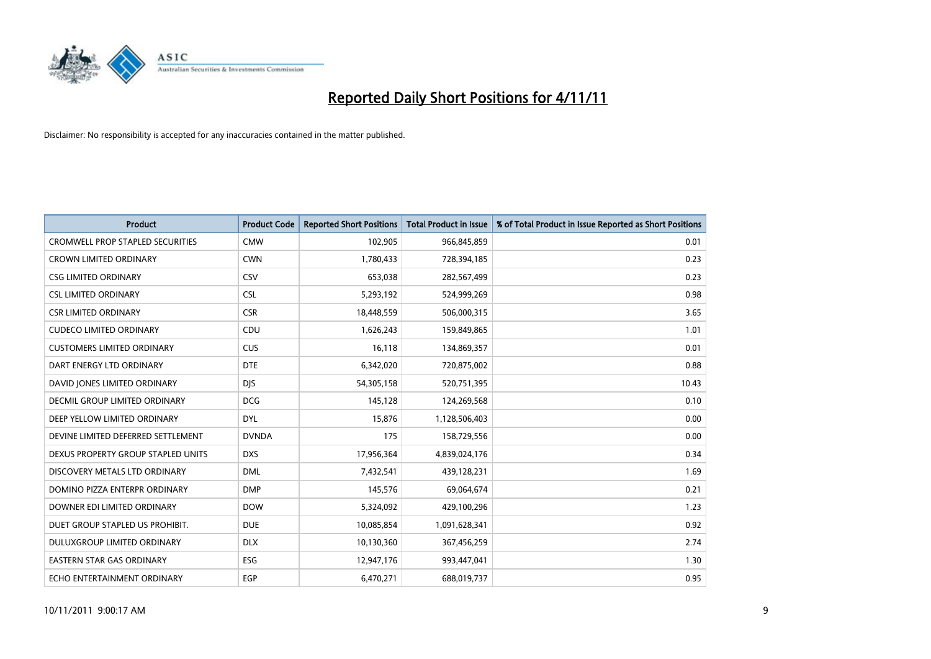

| <b>Product</b>                          | <b>Product Code</b> | <b>Reported Short Positions</b> | <b>Total Product in Issue</b> | % of Total Product in Issue Reported as Short Positions |
|-----------------------------------------|---------------------|---------------------------------|-------------------------------|---------------------------------------------------------|
| <b>CROMWELL PROP STAPLED SECURITIES</b> | <b>CMW</b>          | 102,905                         | 966,845,859                   | 0.01                                                    |
| CROWN LIMITED ORDINARY                  | <b>CWN</b>          | 1,780,433                       | 728,394,185                   | 0.23                                                    |
| <b>CSG LIMITED ORDINARY</b>             | CSV                 | 653,038                         | 282,567,499                   | 0.23                                                    |
| <b>CSL LIMITED ORDINARY</b>             | <b>CSL</b>          | 5,293,192                       | 524,999,269                   | 0.98                                                    |
| <b>CSR LIMITED ORDINARY</b>             | <b>CSR</b>          | 18,448,559                      | 506,000,315                   | 3.65                                                    |
| <b>CUDECO LIMITED ORDINARY</b>          | CDU                 | 1,626,243                       | 159,849,865                   | 1.01                                                    |
| <b>CUSTOMERS LIMITED ORDINARY</b>       | <b>CUS</b>          | 16,118                          | 134,869,357                   | 0.01                                                    |
| DART ENERGY LTD ORDINARY                | <b>DTE</b>          | 6,342,020                       | 720,875,002                   | 0.88                                                    |
| DAVID JONES LIMITED ORDINARY            | <b>DIS</b>          | 54,305,158                      | 520,751,395                   | 10.43                                                   |
| DECMIL GROUP LIMITED ORDINARY           | <b>DCG</b>          | 145,128                         | 124,269,568                   | 0.10                                                    |
| DEEP YELLOW LIMITED ORDINARY            | <b>DYL</b>          | 15,876                          | 1,128,506,403                 | 0.00                                                    |
| DEVINE LIMITED DEFERRED SETTLEMENT      | <b>DVNDA</b>        | 175                             | 158,729,556                   | 0.00                                                    |
| DEXUS PROPERTY GROUP STAPLED UNITS      | <b>DXS</b>          | 17,956,364                      | 4,839,024,176                 | 0.34                                                    |
| DISCOVERY METALS LTD ORDINARY           | DML                 | 7,432,541                       | 439,128,231                   | 1.69                                                    |
| DOMINO PIZZA ENTERPR ORDINARY           | <b>DMP</b>          | 145,576                         | 69,064,674                    | 0.21                                                    |
| DOWNER EDI LIMITED ORDINARY             | <b>DOW</b>          | 5,324,092                       | 429,100,296                   | 1.23                                                    |
| DUET GROUP STAPLED US PROHIBIT.         | <b>DUE</b>          | 10,085,854                      | 1,091,628,341                 | 0.92                                                    |
| DULUXGROUP LIMITED ORDINARY             | <b>DLX</b>          | 10,130,360                      | 367,456,259                   | 2.74                                                    |
| <b>EASTERN STAR GAS ORDINARY</b>        | ESG                 | 12,947,176                      | 993,447,041                   | 1.30                                                    |
| ECHO ENTERTAINMENT ORDINARY             | <b>EGP</b>          | 6,470,271                       | 688,019,737                   | 0.95                                                    |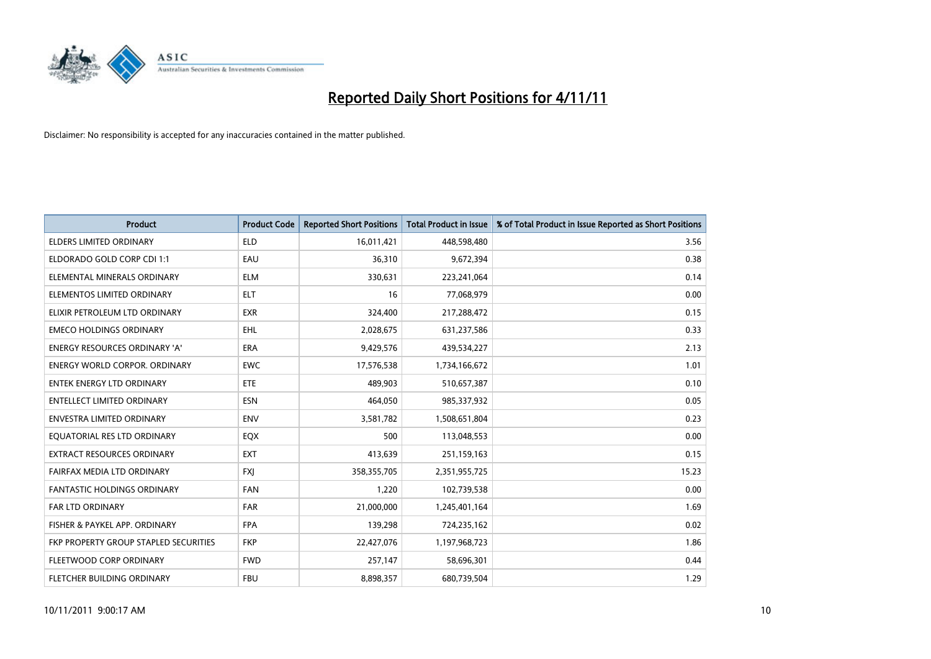

| <b>Product</b>                        | <b>Product Code</b> | <b>Reported Short Positions</b> | <b>Total Product in Issue</b> | % of Total Product in Issue Reported as Short Positions |
|---------------------------------------|---------------------|---------------------------------|-------------------------------|---------------------------------------------------------|
| <b>ELDERS LIMITED ORDINARY</b>        | <b>ELD</b>          | 16,011,421                      | 448,598,480                   | 3.56                                                    |
| ELDORADO GOLD CORP CDI 1:1            | EAU                 | 36,310                          | 9,672,394                     | 0.38                                                    |
| ELEMENTAL MINERALS ORDINARY           | <b>ELM</b>          | 330,631                         | 223,241,064                   | 0.14                                                    |
| ELEMENTOS LIMITED ORDINARY            | <b>ELT</b>          | 16                              | 77,068,979                    | 0.00                                                    |
| ELIXIR PETROLEUM LTD ORDINARY         | <b>EXR</b>          | 324,400                         | 217,288,472                   | 0.15                                                    |
| <b>EMECO HOLDINGS ORDINARY</b>        | <b>EHL</b>          | 2,028,675                       | 631,237,586                   | 0.33                                                    |
| <b>ENERGY RESOURCES ORDINARY 'A'</b>  | <b>ERA</b>          | 9,429,576                       | 439,534,227                   | 2.13                                                    |
| <b>ENERGY WORLD CORPOR. ORDINARY</b>  | <b>EWC</b>          | 17,576,538                      | 1,734,166,672                 | 1.01                                                    |
| <b>ENTEK ENERGY LTD ORDINARY</b>      | <b>ETE</b>          | 489.903                         | 510,657,387                   | 0.10                                                    |
| <b>ENTELLECT LIMITED ORDINARY</b>     | <b>ESN</b>          | 464,050                         | 985,337,932                   | 0.05                                                    |
| ENVESTRA LIMITED ORDINARY             | <b>ENV</b>          | 3,581,782                       | 1,508,651,804                 | 0.23                                                    |
| EQUATORIAL RES LTD ORDINARY           | EQX                 | 500                             | 113,048,553                   | 0.00                                                    |
| EXTRACT RESOURCES ORDINARY            | <b>EXT</b>          | 413,639                         | 251,159,163                   | 0.15                                                    |
| FAIRFAX MEDIA LTD ORDINARY            | <b>FXI</b>          | 358,355,705                     | 2,351,955,725                 | 15.23                                                   |
| <b>FANTASTIC HOLDINGS ORDINARY</b>    | <b>FAN</b>          | 1,220                           | 102,739,538                   | 0.00                                                    |
| FAR LTD ORDINARY                      | <b>FAR</b>          | 21,000,000                      | 1,245,401,164                 | 1.69                                                    |
| FISHER & PAYKEL APP. ORDINARY         | <b>FPA</b>          | 139,298                         | 724,235,162                   | 0.02                                                    |
| FKP PROPERTY GROUP STAPLED SECURITIES | <b>FKP</b>          | 22,427,076                      | 1,197,968,723                 | 1.86                                                    |
| FLEETWOOD CORP ORDINARY               | <b>FWD</b>          | 257,147                         | 58,696,301                    | 0.44                                                    |
| FLETCHER BUILDING ORDINARY            | <b>FBU</b>          | 8,898,357                       | 680,739,504                   | 1.29                                                    |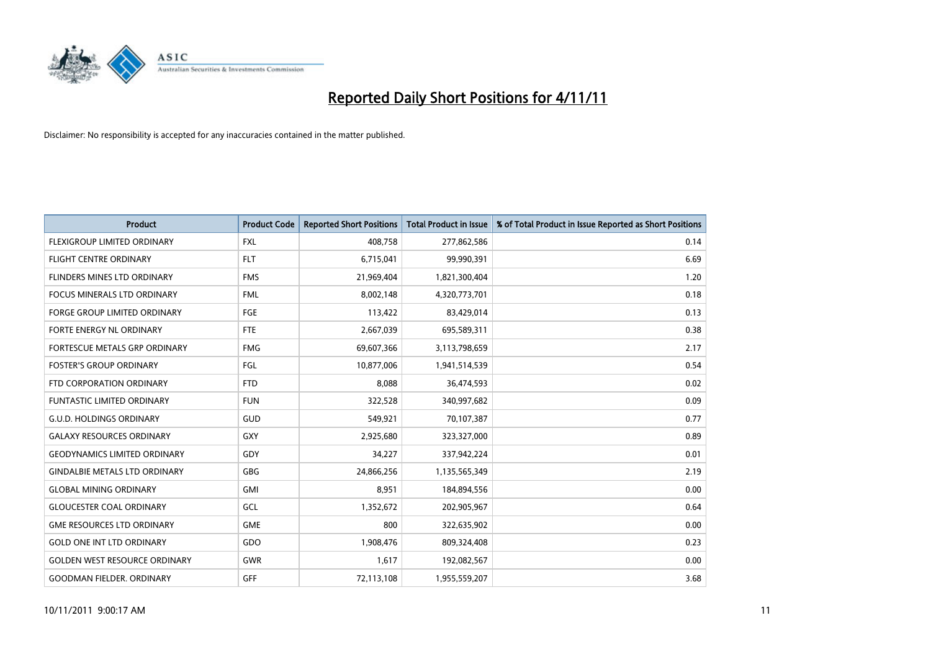

| <b>Product</b>                       | <b>Product Code</b> | <b>Reported Short Positions</b> | <b>Total Product in Issue</b> | % of Total Product in Issue Reported as Short Positions |
|--------------------------------------|---------------------|---------------------------------|-------------------------------|---------------------------------------------------------|
| FLEXIGROUP LIMITED ORDINARY          | <b>FXL</b>          | 408,758                         | 277,862,586                   | 0.14                                                    |
| FLIGHT CENTRE ORDINARY               | <b>FLT</b>          | 6,715,041                       | 99,990,391                    | 6.69                                                    |
| FLINDERS MINES LTD ORDINARY          | <b>FMS</b>          | 21,969,404                      | 1,821,300,404                 | 1.20                                                    |
| FOCUS MINERALS LTD ORDINARY          | <b>FML</b>          | 8,002,148                       | 4,320,773,701                 | 0.18                                                    |
| <b>FORGE GROUP LIMITED ORDINARY</b>  | FGE                 | 113,422                         | 83,429,014                    | 0.13                                                    |
| FORTE ENERGY NL ORDINARY             | <b>FTE</b>          | 2,667,039                       | 695,589,311                   | 0.38                                                    |
| FORTESCUE METALS GRP ORDINARY        | <b>FMG</b>          | 69,607,366                      | 3,113,798,659                 | 2.17                                                    |
| <b>FOSTER'S GROUP ORDINARY</b>       | FGL                 | 10,877,006                      | 1,941,514,539                 | 0.54                                                    |
| FTD CORPORATION ORDINARY             | <b>FTD</b>          | 8,088                           | 36,474,593                    | 0.02                                                    |
| <b>FUNTASTIC LIMITED ORDINARY</b>    | <b>FUN</b>          | 322,528                         | 340,997,682                   | 0.09                                                    |
| G.U.D. HOLDINGS ORDINARY             | GUD                 | 549,921                         | 70,107,387                    | 0.77                                                    |
| <b>GALAXY RESOURCES ORDINARY</b>     | <b>GXY</b>          | 2,925,680                       | 323,327,000                   | 0.89                                                    |
| <b>GEODYNAMICS LIMITED ORDINARY</b>  | GDY                 | 34,227                          | 337,942,224                   | 0.01                                                    |
| <b>GINDALBIE METALS LTD ORDINARY</b> | GBG                 | 24,866,256                      | 1,135,565,349                 | 2.19                                                    |
| <b>GLOBAL MINING ORDINARY</b>        | GMI                 | 8,951                           | 184,894,556                   | 0.00                                                    |
| <b>GLOUCESTER COAL ORDINARY</b>      | GCL                 | 1,352,672                       | 202,905,967                   | 0.64                                                    |
| <b>GME RESOURCES LTD ORDINARY</b>    | <b>GME</b>          | 800                             | 322,635,902                   | 0.00                                                    |
| <b>GOLD ONE INT LTD ORDINARY</b>     | GDO                 | 1,908,476                       | 809,324,408                   | 0.23                                                    |
| <b>GOLDEN WEST RESOURCE ORDINARY</b> | <b>GWR</b>          | 1,617                           | 192,082,567                   | 0.00                                                    |
| <b>GOODMAN FIELDER. ORDINARY</b>     | <b>GFF</b>          | 72,113,108                      | 1,955,559,207                 | 3.68                                                    |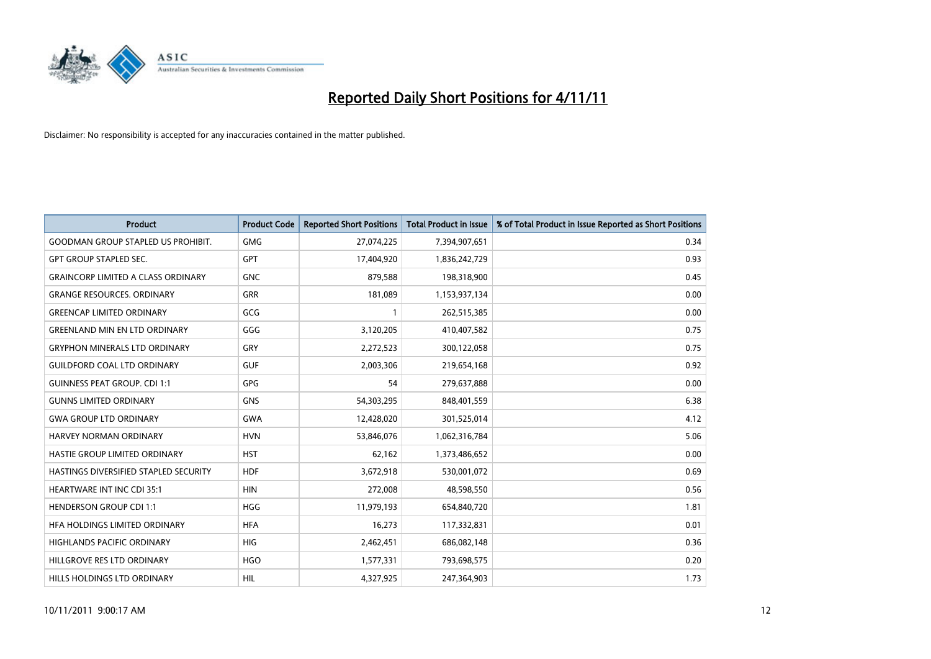

| <b>Product</b>                            | <b>Product Code</b> | <b>Reported Short Positions</b> | <b>Total Product in Issue</b> | % of Total Product in Issue Reported as Short Positions |
|-------------------------------------------|---------------------|---------------------------------|-------------------------------|---------------------------------------------------------|
| <b>GOODMAN GROUP STAPLED US PROHIBIT.</b> | <b>GMG</b>          | 27,074,225                      | 7,394,907,651                 | 0.34                                                    |
| <b>GPT GROUP STAPLED SEC.</b>             | <b>GPT</b>          | 17,404,920                      | 1,836,242,729                 | 0.93                                                    |
| <b>GRAINCORP LIMITED A CLASS ORDINARY</b> | <b>GNC</b>          | 879,588                         | 198,318,900                   | 0.45                                                    |
| <b>GRANGE RESOURCES. ORDINARY</b>         | <b>GRR</b>          | 181,089                         | 1,153,937,134                 | 0.00                                                    |
| <b>GREENCAP LIMITED ORDINARY</b>          | GCG                 |                                 | 262,515,385                   | 0.00                                                    |
| <b>GREENLAND MIN EN LTD ORDINARY</b>      | GGG                 | 3,120,205                       | 410,407,582                   | 0.75                                                    |
| <b>GRYPHON MINERALS LTD ORDINARY</b>      | GRY                 | 2,272,523                       | 300,122,058                   | 0.75                                                    |
| <b>GUILDFORD COAL LTD ORDINARY</b>        | <b>GUF</b>          | 2,003,306                       | 219,654,168                   | 0.92                                                    |
| <b>GUINNESS PEAT GROUP. CDI 1:1</b>       | <b>GPG</b>          | 54                              | 279,637,888                   | 0.00                                                    |
| <b>GUNNS LIMITED ORDINARY</b>             | <b>GNS</b>          | 54,303,295                      | 848,401,559                   | 6.38                                                    |
| <b>GWA GROUP LTD ORDINARY</b>             | <b>GWA</b>          | 12,428,020                      | 301,525,014                   | 4.12                                                    |
| HARVEY NORMAN ORDINARY                    | <b>HVN</b>          | 53,846,076                      | 1,062,316,784                 | 5.06                                                    |
| <b>HASTIE GROUP LIMITED ORDINARY</b>      | <b>HST</b>          | 62,162                          | 1,373,486,652                 | 0.00                                                    |
| HASTINGS DIVERSIFIED STAPLED SECURITY     | <b>HDF</b>          | 3,672,918                       | 530,001,072                   | 0.69                                                    |
| <b>HEARTWARE INT INC CDI 35:1</b>         | <b>HIN</b>          | 272,008                         | 48,598,550                    | 0.56                                                    |
| <b>HENDERSON GROUP CDI 1:1</b>            | <b>HGG</b>          | 11,979,193                      | 654,840,720                   | 1.81                                                    |
| HFA HOLDINGS LIMITED ORDINARY             | <b>HFA</b>          | 16,273                          | 117,332,831                   | 0.01                                                    |
| HIGHLANDS PACIFIC ORDINARY                | <b>HIG</b>          | 2,462,451                       | 686,082,148                   | 0.36                                                    |
| HILLGROVE RES LTD ORDINARY                | <b>HGO</b>          | 1,577,331                       | 793,698,575                   | 0.20                                                    |
| HILLS HOLDINGS LTD ORDINARY               | <b>HIL</b>          | 4.327.925                       | 247,364,903                   | 1.73                                                    |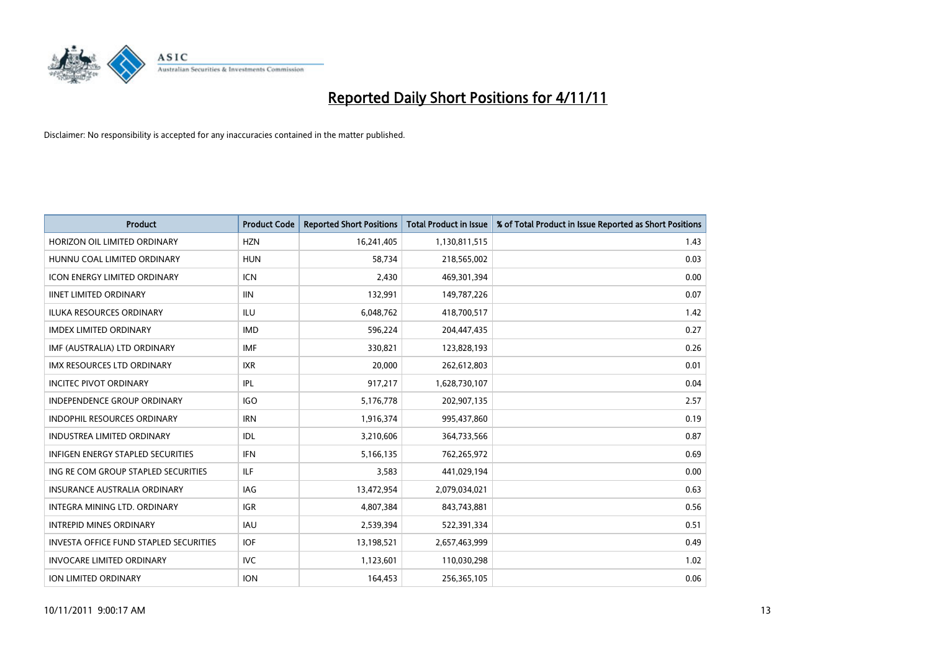

| <b>Product</b>                           | <b>Product Code</b> | <b>Reported Short Positions</b> | <b>Total Product in Issue</b> | % of Total Product in Issue Reported as Short Positions |
|------------------------------------------|---------------------|---------------------------------|-------------------------------|---------------------------------------------------------|
| HORIZON OIL LIMITED ORDINARY             | <b>HZN</b>          | 16,241,405                      | 1,130,811,515                 | 1.43                                                    |
| HUNNU COAL LIMITED ORDINARY              | <b>HUN</b>          | 58,734                          | 218,565,002                   | 0.03                                                    |
| <b>ICON ENERGY LIMITED ORDINARY</b>      | <b>ICN</b>          | 2,430                           | 469,301,394                   | 0.00                                                    |
| <b>IINET LIMITED ORDINARY</b>            | <b>IIN</b>          | 132,991                         | 149,787,226                   | 0.07                                                    |
| <b>ILUKA RESOURCES ORDINARY</b>          | ILU                 | 6,048,762                       | 418,700,517                   | 1.42                                                    |
| <b>IMDEX LIMITED ORDINARY</b>            | <b>IMD</b>          | 596,224                         | 204,447,435                   | 0.27                                                    |
| IMF (AUSTRALIA) LTD ORDINARY             | <b>IMF</b>          | 330,821                         | 123,828,193                   | 0.26                                                    |
| <b>IMX RESOURCES LTD ORDINARY</b>        | <b>IXR</b>          | 20,000                          | 262,612,803                   | 0.01                                                    |
| <b>INCITEC PIVOT ORDINARY</b>            | <b>IPL</b>          | 917,217                         | 1,628,730,107                 | 0.04                                                    |
| <b>INDEPENDENCE GROUP ORDINARY</b>       | <b>IGO</b>          | 5,176,778                       | 202,907,135                   | 2.57                                                    |
| INDOPHIL RESOURCES ORDINARY              | <b>IRN</b>          | 1,916,374                       | 995,437,860                   | 0.19                                                    |
| <b>INDUSTREA LIMITED ORDINARY</b>        | <b>IDL</b>          | 3,210,606                       | 364,733,566                   | 0.87                                                    |
| <b>INFIGEN ENERGY STAPLED SECURITIES</b> | <b>IFN</b>          | 5,166,135                       | 762,265,972                   | 0.69                                                    |
| ING RE COM GROUP STAPLED SECURITIES      | <b>ILF</b>          | 3,583                           | 441,029,194                   | 0.00                                                    |
| INSURANCE AUSTRALIA ORDINARY             | IAG                 | 13,472,954                      | 2,079,034,021                 | 0.63                                                    |
| <b>INTEGRA MINING LTD, ORDINARY</b>      | <b>IGR</b>          | 4,807,384                       | 843,743,881                   | 0.56                                                    |
| <b>INTREPID MINES ORDINARY</b>           | <b>IAU</b>          | 2,539,394                       | 522,391,334                   | 0.51                                                    |
| INVESTA OFFICE FUND STAPLED SECURITIES   | <b>IOF</b>          | 13,198,521                      | 2,657,463,999                 | 0.49                                                    |
| <b>INVOCARE LIMITED ORDINARY</b>         | IVC                 | 1,123,601                       | 110,030,298                   | 1.02                                                    |
| <b>ION LIMITED ORDINARY</b>              | <b>ION</b>          | 164,453                         | 256,365,105                   | 0.06                                                    |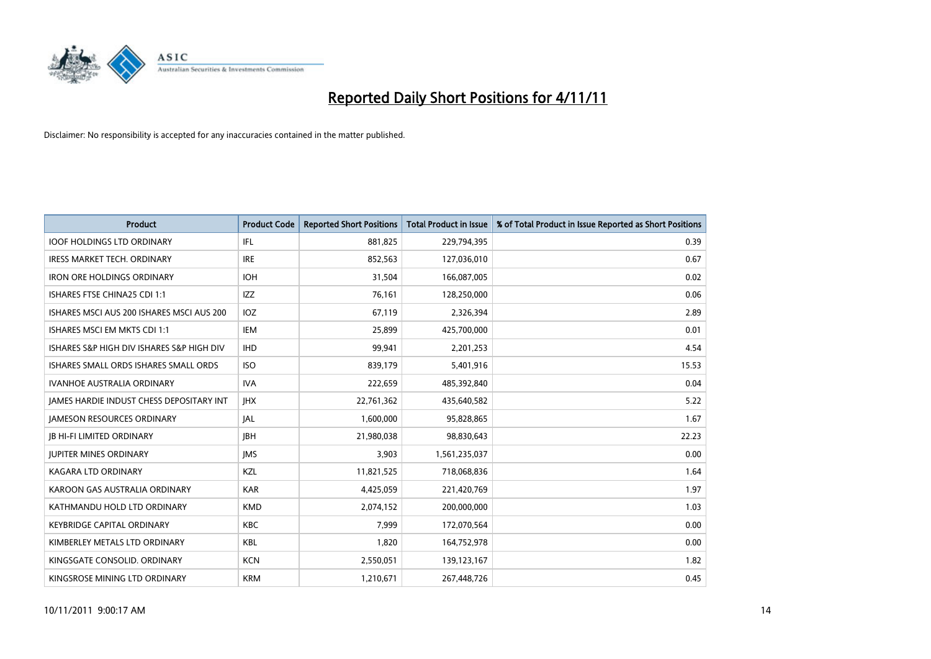

| <b>Product</b>                                  | <b>Product Code</b> | <b>Reported Short Positions</b> | <b>Total Product in Issue</b> | % of Total Product in Issue Reported as Short Positions |
|-------------------------------------------------|---------------------|---------------------------------|-------------------------------|---------------------------------------------------------|
| <b>IOOF HOLDINGS LTD ORDINARY</b>               | IFL                 | 881,825                         | 229,794,395                   | 0.39                                                    |
| IRESS MARKET TECH. ORDINARY                     | <b>IRE</b>          | 852,563                         | 127,036,010                   | 0.67                                                    |
| <b>IRON ORE HOLDINGS ORDINARY</b>               | <b>IOH</b>          | 31,504                          | 166,087,005                   | 0.02                                                    |
| ISHARES FTSE CHINA25 CDI 1:1                    | <b>IZZ</b>          | 76,161                          | 128,250,000                   | 0.06                                                    |
| ISHARES MSCI AUS 200 ISHARES MSCI AUS 200       | <b>IOZ</b>          | 67,119                          | 2,326,394                     | 2.89                                                    |
| ISHARES MSCI EM MKTS CDI 1:1                    | IEM                 | 25,899                          | 425,700,000                   | 0.01                                                    |
| ISHARES S&P HIGH DIV ISHARES S&P HIGH DIV       | <b>IHD</b>          | 99,941                          | 2,201,253                     | 4.54                                                    |
| ISHARES SMALL ORDS ISHARES SMALL ORDS           | <b>ISO</b>          | 839,179                         | 5,401,916                     | 15.53                                                   |
| <b>IVANHOE AUSTRALIA ORDINARY</b>               | <b>IVA</b>          | 222,659                         | 485,392,840                   | 0.04                                                    |
| <b>JAMES HARDIE INDUST CHESS DEPOSITARY INT</b> | <b>IHX</b>          | 22,761,362                      | 435,640,582                   | 5.22                                                    |
| <b>JAMESON RESOURCES ORDINARY</b>               | <b>JAL</b>          | 1,600,000                       | 95,828,865                    | 1.67                                                    |
| <b>JB HI-FI LIMITED ORDINARY</b>                | <b>IBH</b>          | 21,980,038                      | 98,830,643                    | 22.23                                                   |
| <b>JUPITER MINES ORDINARY</b>                   | <b>IMS</b>          | 3,903                           | 1,561,235,037                 | 0.00                                                    |
| <b>KAGARA LTD ORDINARY</b>                      | <b>KZL</b>          | 11,821,525                      | 718,068,836                   | 1.64                                                    |
| KAROON GAS AUSTRALIA ORDINARY                   | <b>KAR</b>          | 4,425,059                       | 221,420,769                   | 1.97                                                    |
| KATHMANDU HOLD LTD ORDINARY                     | <b>KMD</b>          | 2,074,152                       | 200,000,000                   | 1.03                                                    |
| <b>KEYBRIDGE CAPITAL ORDINARY</b>               | KBC                 | 7,999                           | 172,070,564                   | 0.00                                                    |
| KIMBERLEY METALS LTD ORDINARY                   | <b>KBL</b>          | 1,820                           | 164,752,978                   | 0.00                                                    |
| KINGSGATE CONSOLID, ORDINARY                    | <b>KCN</b>          | 2,550,051                       | 139,123,167                   | 1.82                                                    |
| KINGSROSE MINING LTD ORDINARY                   | <b>KRM</b>          | 1,210,671                       | 267,448,726                   | 0.45                                                    |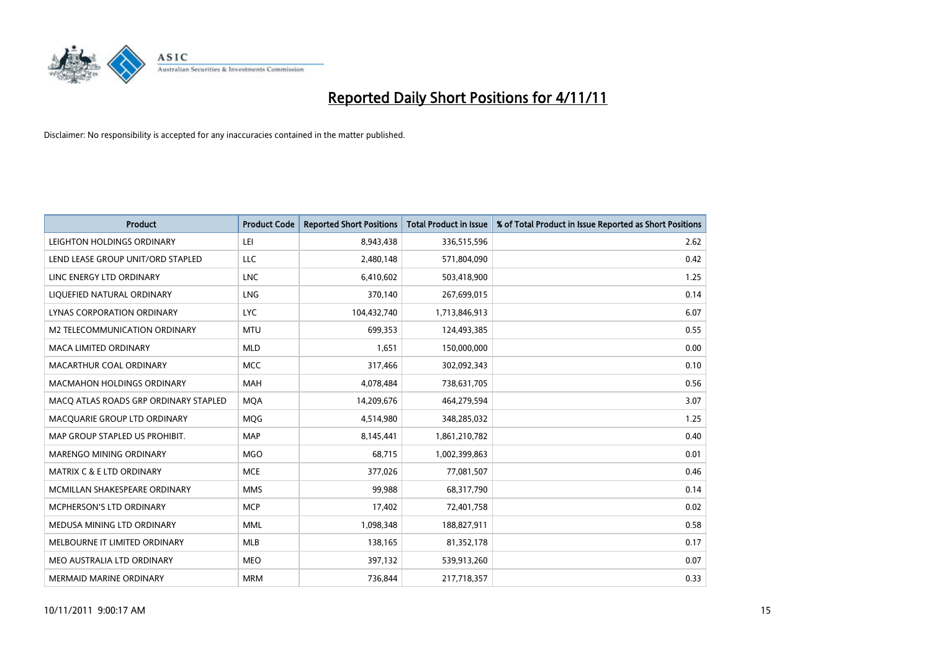

| <b>Product</b>                        | <b>Product Code</b> | <b>Reported Short Positions</b> | <b>Total Product in Issue</b> | % of Total Product in Issue Reported as Short Positions |
|---------------------------------------|---------------------|---------------------------------|-------------------------------|---------------------------------------------------------|
| LEIGHTON HOLDINGS ORDINARY            | LEI                 | 8,943,438                       | 336,515,596                   | 2.62                                                    |
| LEND LEASE GROUP UNIT/ORD STAPLED     | LLC                 | 2,480,148                       | 571,804,090                   | 0.42                                                    |
| LINC ENERGY LTD ORDINARY              | <b>LNC</b>          | 6,410,602                       | 503,418,900                   | 1.25                                                    |
| LIQUEFIED NATURAL ORDINARY            | LNG                 | 370,140                         | 267,699,015                   | 0.14                                                    |
| <b>LYNAS CORPORATION ORDINARY</b>     | <b>LYC</b>          | 104,432,740                     | 1,713,846,913                 | 6.07                                                    |
| M2 TELECOMMUNICATION ORDINARY         | <b>MTU</b>          | 699,353                         | 124,493,385                   | 0.55                                                    |
| <b>MACA LIMITED ORDINARY</b>          | <b>MLD</b>          | 1.651                           | 150,000,000                   | 0.00                                                    |
| MACARTHUR COAL ORDINARY               | <b>MCC</b>          | 317,466                         | 302,092,343                   | 0.10                                                    |
| MACMAHON HOLDINGS ORDINARY            | <b>MAH</b>          | 4,078,484                       | 738,631,705                   | 0.56                                                    |
| MACO ATLAS ROADS GRP ORDINARY STAPLED | <b>MOA</b>          | 14,209,676                      | 464,279,594                   | 3.07                                                    |
| MACQUARIE GROUP LTD ORDINARY          | MQG                 | 4,514,980                       | 348,285,032                   | 1.25                                                    |
| MAP GROUP STAPLED US PROHIBIT.        | <b>MAP</b>          | 8,145,441                       | 1,861,210,782                 | 0.40                                                    |
| <b>MARENGO MINING ORDINARY</b>        | <b>MGO</b>          | 68,715                          | 1,002,399,863                 | 0.01                                                    |
| <b>MATRIX C &amp; E LTD ORDINARY</b>  | <b>MCE</b>          | 377,026                         | 77,081,507                    | 0.46                                                    |
| MCMILLAN SHAKESPEARE ORDINARY         | <b>MMS</b>          | 99,988                          | 68,317,790                    | 0.14                                                    |
| MCPHERSON'S LTD ORDINARY              | <b>MCP</b>          | 17,402                          | 72,401,758                    | 0.02                                                    |
| MEDUSA MINING LTD ORDINARY            | <b>MML</b>          | 1,098,348                       | 188,827,911                   | 0.58                                                    |
| MELBOURNE IT LIMITED ORDINARY         | <b>MLB</b>          | 138,165                         | 81,352,178                    | 0.17                                                    |
| MEO AUSTRALIA LTD ORDINARY            | <b>MEO</b>          | 397,132                         | 539,913,260                   | 0.07                                                    |
| <b>MERMAID MARINE ORDINARY</b>        | <b>MRM</b>          | 736.844                         | 217,718,357                   | 0.33                                                    |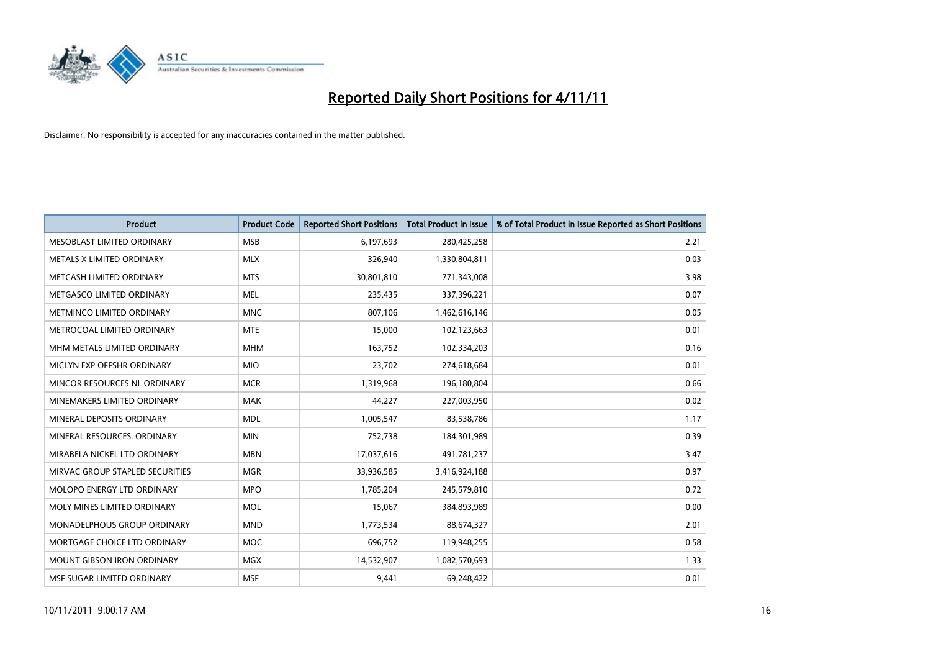

| <b>Product</b>                    | <b>Product Code</b> | <b>Reported Short Positions</b> | <b>Total Product in Issue</b> | % of Total Product in Issue Reported as Short Positions |
|-----------------------------------|---------------------|---------------------------------|-------------------------------|---------------------------------------------------------|
| MESOBLAST LIMITED ORDINARY        | <b>MSB</b>          | 6,197,693                       | 280,425,258                   | 2.21                                                    |
| METALS X LIMITED ORDINARY         | <b>MLX</b>          | 326,940                         | 1,330,804,811                 | 0.03                                                    |
| METCASH LIMITED ORDINARY          | <b>MTS</b>          | 30,801,810                      | 771,343,008                   | 3.98                                                    |
| METGASCO LIMITED ORDINARY         | <b>MEL</b>          | 235,435                         | 337,396,221                   | 0.07                                                    |
| METMINCO LIMITED ORDINARY         | <b>MNC</b>          | 807,106                         | 1,462,616,146                 | 0.05                                                    |
| METROCOAL LIMITED ORDINARY        | <b>MTE</b>          | 15,000                          | 102,123,663                   | 0.01                                                    |
| MHM METALS LIMITED ORDINARY       | <b>MHM</b>          | 163,752                         | 102,334,203                   | 0.16                                                    |
| MICLYN EXP OFFSHR ORDINARY        | <b>MIO</b>          | 23,702                          | 274,618,684                   | 0.01                                                    |
| MINCOR RESOURCES NL ORDINARY      | <b>MCR</b>          | 1,319,968                       | 196,180,804                   | 0.66                                                    |
| MINEMAKERS LIMITED ORDINARY       | <b>MAK</b>          | 44,227                          | 227,003,950                   | 0.02                                                    |
| MINERAL DEPOSITS ORDINARY         | <b>MDL</b>          | 1,005,547                       | 83,538,786                    | 1.17                                                    |
| MINERAL RESOURCES, ORDINARY       | <b>MIN</b>          | 752,738                         | 184,301,989                   | 0.39                                                    |
| MIRABELA NICKEL LTD ORDINARY      | <b>MBN</b>          | 17,037,616                      | 491,781,237                   | 3.47                                                    |
| MIRVAC GROUP STAPLED SECURITIES   | <b>MGR</b>          | 33,936,585                      | 3,416,924,188                 | 0.97                                                    |
| <b>MOLOPO ENERGY LTD ORDINARY</b> | <b>MPO</b>          | 1,785,204                       | 245,579,810                   | 0.72                                                    |
| MOLY MINES LIMITED ORDINARY       | <b>MOL</b>          | 15,067                          | 384,893,989                   | 0.00                                                    |
| MONADELPHOUS GROUP ORDINARY       | <b>MND</b>          | 1,773,534                       | 88,674,327                    | 2.01                                                    |
| MORTGAGE CHOICE LTD ORDINARY      | <b>MOC</b>          | 696,752                         | 119,948,255                   | 0.58                                                    |
| <b>MOUNT GIBSON IRON ORDINARY</b> | <b>MGX</b>          | 14,532,907                      | 1,082,570,693                 | 1.33                                                    |
| MSF SUGAR LIMITED ORDINARY        | <b>MSF</b>          | 9,441                           | 69,248,422                    | 0.01                                                    |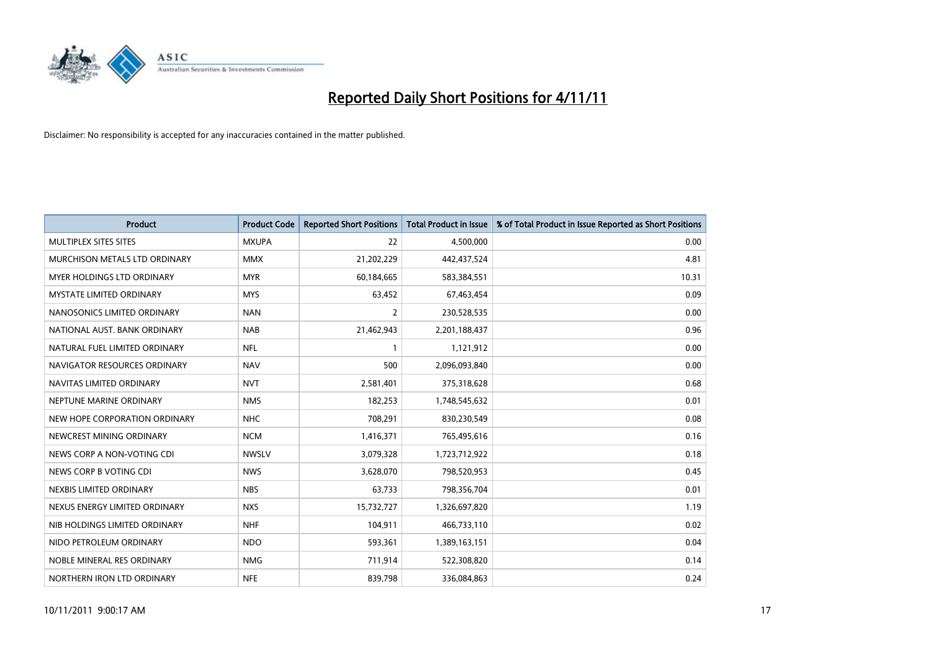

| <b>Product</b>                    | <b>Product Code</b> | <b>Reported Short Positions</b> | <b>Total Product in Issue</b> | % of Total Product in Issue Reported as Short Positions |
|-----------------------------------|---------------------|---------------------------------|-------------------------------|---------------------------------------------------------|
| <b>MULTIPLEX SITES SITES</b>      | <b>MXUPA</b>        | 22                              | 4,500,000                     | 0.00                                                    |
| MURCHISON METALS LTD ORDINARY     | <b>MMX</b>          | 21,202,229                      | 442,437,524                   | 4.81                                                    |
| <b>MYER HOLDINGS LTD ORDINARY</b> | <b>MYR</b>          | 60,184,665                      | 583,384,551                   | 10.31                                                   |
| MYSTATE LIMITED ORDINARY          | <b>MYS</b>          | 63,452                          | 67,463,454                    | 0.09                                                    |
| NANOSONICS LIMITED ORDINARY       | <b>NAN</b>          | 2                               | 230,528,535                   | 0.00                                                    |
| NATIONAL AUST. BANK ORDINARY      | <b>NAB</b>          | 21,462,943                      | 2,201,188,437                 | 0.96                                                    |
| NATURAL FUEL LIMITED ORDINARY     | <b>NFL</b>          |                                 | 1,121,912                     | 0.00                                                    |
| NAVIGATOR RESOURCES ORDINARY      | <b>NAV</b>          | 500                             | 2,096,093,840                 | 0.00                                                    |
| NAVITAS LIMITED ORDINARY          | <b>NVT</b>          | 2,581,401                       | 375,318,628                   | 0.68                                                    |
| NEPTUNE MARINE ORDINARY           | <b>NMS</b>          | 182,253                         | 1,748,545,632                 | 0.01                                                    |
| NEW HOPE CORPORATION ORDINARY     | NHC                 | 708,291                         | 830,230,549                   | 0.08                                                    |
| NEWCREST MINING ORDINARY          | <b>NCM</b>          | 1,416,371                       | 765,495,616                   | 0.16                                                    |
| NEWS CORP A NON-VOTING CDI        | <b>NWSLV</b>        | 3,079,328                       | 1,723,712,922                 | 0.18                                                    |
| NEWS CORP B VOTING CDI            | <b>NWS</b>          | 3,628,070                       | 798,520,953                   | 0.45                                                    |
| NEXBIS LIMITED ORDINARY           | <b>NBS</b>          | 63,733                          | 798,356,704                   | 0.01                                                    |
| NEXUS ENERGY LIMITED ORDINARY     | <b>NXS</b>          | 15,732,727                      | 1,326,697,820                 | 1.19                                                    |
| NIB HOLDINGS LIMITED ORDINARY     | <b>NHF</b>          | 104,911                         | 466,733,110                   | 0.02                                                    |
| NIDO PETROLEUM ORDINARY           | <b>NDO</b>          | 593,361                         | 1,389,163,151                 | 0.04                                                    |
| NOBLE MINERAL RES ORDINARY        | <b>NMG</b>          | 711,914                         | 522,308,820                   | 0.14                                                    |
| NORTHERN IRON LTD ORDINARY        | <b>NFE</b>          | 839,798                         | 336,084,863                   | 0.24                                                    |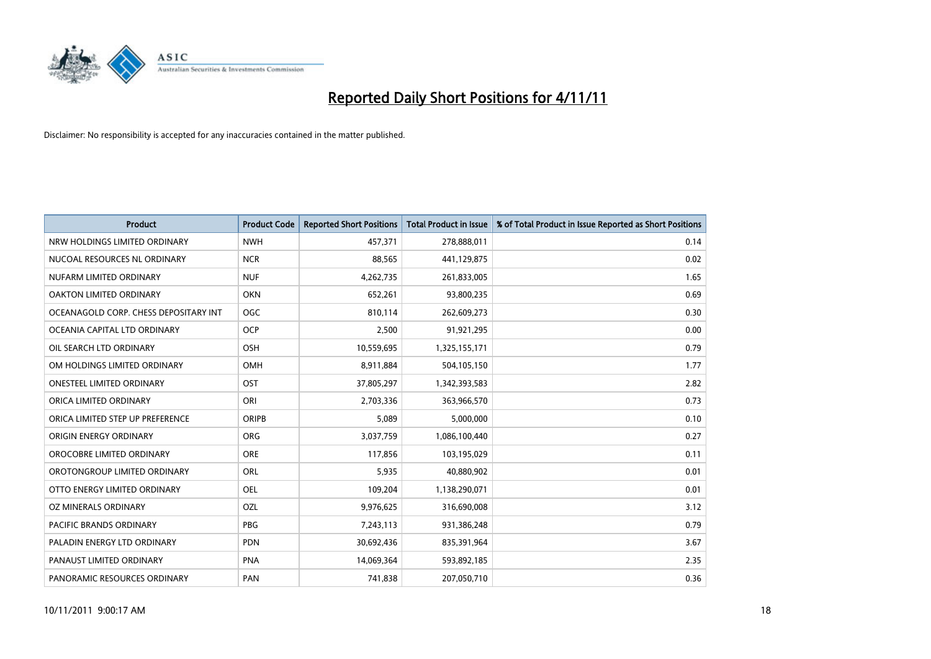

| <b>Product</b>                        | <b>Product Code</b> | <b>Reported Short Positions</b> | <b>Total Product in Issue</b> | % of Total Product in Issue Reported as Short Positions |
|---------------------------------------|---------------------|---------------------------------|-------------------------------|---------------------------------------------------------|
| NRW HOLDINGS LIMITED ORDINARY         | <b>NWH</b>          | 457,371                         | 278,888,011                   | 0.14                                                    |
| NUCOAL RESOURCES NL ORDINARY          | <b>NCR</b>          | 88,565                          | 441,129,875                   | 0.02                                                    |
| NUFARM LIMITED ORDINARY               | <b>NUF</b>          | 4,262,735                       | 261,833,005                   | 1.65                                                    |
| OAKTON LIMITED ORDINARY               | <b>OKN</b>          | 652,261                         | 93,800,235                    | 0.69                                                    |
| OCEANAGOLD CORP. CHESS DEPOSITARY INT | <b>OGC</b>          | 810,114                         | 262,609,273                   | 0.30                                                    |
| OCEANIA CAPITAL LTD ORDINARY          | <b>OCP</b>          | 2,500                           | 91,921,295                    | 0.00                                                    |
| OIL SEARCH LTD ORDINARY               | <b>OSH</b>          | 10,559,695                      | 1,325,155,171                 | 0.79                                                    |
| OM HOLDINGS LIMITED ORDINARY          | <b>OMH</b>          | 8,911,884                       | 504,105,150                   | 1.77                                                    |
| <b>ONESTEEL LIMITED ORDINARY</b>      | OST                 | 37,805,297                      | 1,342,393,583                 | 2.82                                                    |
| ORICA LIMITED ORDINARY                | ORI                 | 2,703,336                       | 363,966,570                   | 0.73                                                    |
| ORICA LIMITED STEP UP PREFERENCE      | <b>ORIPB</b>        | 5,089                           | 5,000,000                     | 0.10                                                    |
| ORIGIN ENERGY ORDINARY                | <b>ORG</b>          | 3,037,759                       | 1,086,100,440                 | 0.27                                                    |
| OROCOBRE LIMITED ORDINARY             | <b>ORE</b>          | 117,856                         | 103,195,029                   | 0.11                                                    |
| OROTONGROUP LIMITED ORDINARY          | ORL                 | 5,935                           | 40,880,902                    | 0.01                                                    |
| OTTO ENERGY LIMITED ORDINARY          | OEL                 | 109,204                         | 1,138,290,071                 | 0.01                                                    |
| OZ MINERALS ORDINARY                  | OZL                 | 9,976,625                       | 316,690,008                   | 3.12                                                    |
| PACIFIC BRANDS ORDINARY               | <b>PBG</b>          | 7,243,113                       | 931,386,248                   | 0.79                                                    |
| PALADIN ENERGY LTD ORDINARY           | <b>PDN</b>          | 30,692,436                      | 835,391,964                   | 3.67                                                    |
| PANAUST LIMITED ORDINARY              | <b>PNA</b>          | 14,069,364                      | 593,892,185                   | 2.35                                                    |
| PANORAMIC RESOURCES ORDINARY          | PAN                 | 741,838                         | 207,050,710                   | 0.36                                                    |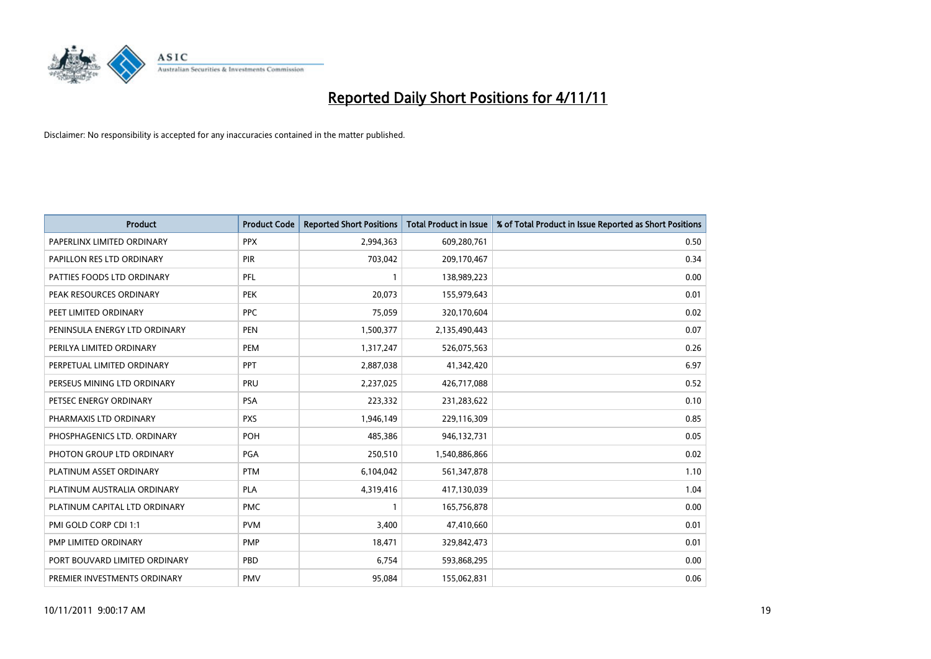

| <b>Product</b>                | <b>Product Code</b> | <b>Reported Short Positions</b> | <b>Total Product in Issue</b> | % of Total Product in Issue Reported as Short Positions |
|-------------------------------|---------------------|---------------------------------|-------------------------------|---------------------------------------------------------|
| PAPERLINX LIMITED ORDINARY    | <b>PPX</b>          | 2,994,363                       | 609,280,761                   | 0.50                                                    |
| PAPILLON RES LTD ORDINARY     | PIR                 | 703,042                         | 209,170,467                   | 0.34                                                    |
| PATTIES FOODS LTD ORDINARY    | PFL                 |                                 | 138,989,223                   | 0.00                                                    |
| PEAK RESOURCES ORDINARY       | <b>PEK</b>          | 20,073                          | 155,979,643                   | 0.01                                                    |
| PEET LIMITED ORDINARY         | <b>PPC</b>          | 75,059                          | 320,170,604                   | 0.02                                                    |
| PENINSULA ENERGY LTD ORDINARY | PEN                 | 1,500,377                       | 2,135,490,443                 | 0.07                                                    |
| PERILYA LIMITED ORDINARY      | PEM                 | 1,317,247                       | 526,075,563                   | 0.26                                                    |
| PERPETUAL LIMITED ORDINARY    | PPT                 | 2,887,038                       | 41,342,420                    | 6.97                                                    |
| PERSEUS MINING LTD ORDINARY   | PRU                 | 2,237,025                       | 426,717,088                   | 0.52                                                    |
| PETSEC ENERGY ORDINARY        | <b>PSA</b>          | 223,332                         | 231,283,622                   | 0.10                                                    |
| PHARMAXIS LTD ORDINARY        | <b>PXS</b>          | 1,946,149                       | 229,116,309                   | 0.85                                                    |
| PHOSPHAGENICS LTD. ORDINARY   | POH                 | 485,386                         | 946,132,731                   | 0.05                                                    |
| PHOTON GROUP LTD ORDINARY     | PGA                 | 250,510                         | 1,540,886,866                 | 0.02                                                    |
| PLATINUM ASSET ORDINARY       | <b>PTM</b>          | 6,104,042                       | 561,347,878                   | 1.10                                                    |
| PLATINUM AUSTRALIA ORDINARY   | PLA                 | 4,319,416                       | 417,130,039                   | 1.04                                                    |
| PLATINUM CAPITAL LTD ORDINARY | <b>PMC</b>          |                                 | 165,756,878                   | 0.00                                                    |
| PMI GOLD CORP CDI 1:1         | <b>PVM</b>          | 3,400                           | 47,410,660                    | 0.01                                                    |
| PMP LIMITED ORDINARY          | <b>PMP</b>          | 18,471                          | 329,842,473                   | 0.01                                                    |
| PORT BOUVARD LIMITED ORDINARY | PBD                 | 6,754                           | 593,868,295                   | 0.00                                                    |
| PREMIER INVESTMENTS ORDINARY  | PMV                 | 95,084                          | 155,062,831                   | 0.06                                                    |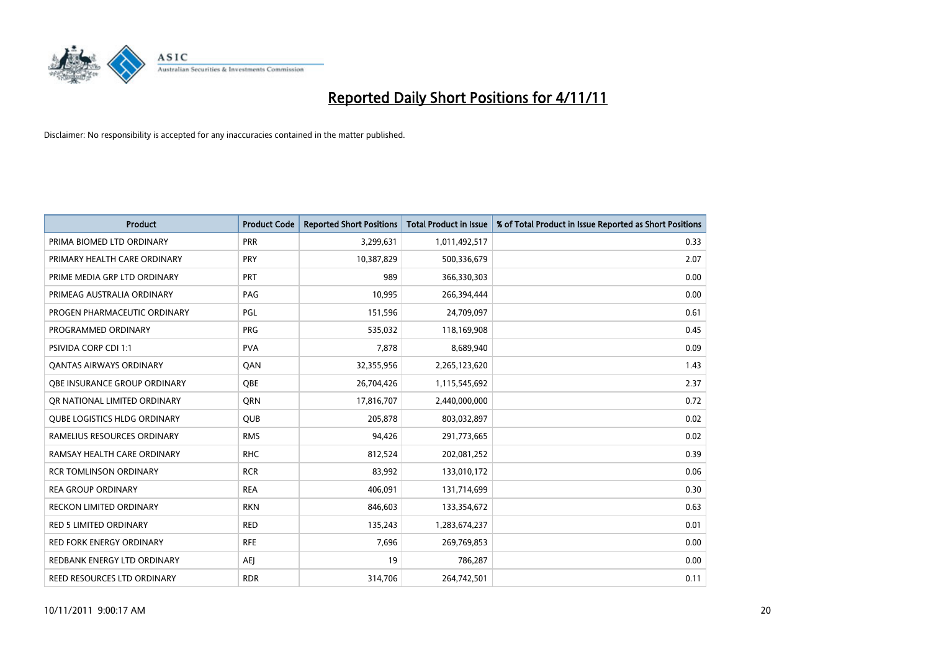

| <b>Product</b>                      | <b>Product Code</b> | <b>Reported Short Positions</b> | <b>Total Product in Issue</b> | % of Total Product in Issue Reported as Short Positions |
|-------------------------------------|---------------------|---------------------------------|-------------------------------|---------------------------------------------------------|
| PRIMA BIOMED LTD ORDINARY           | <b>PRR</b>          | 3,299,631                       | 1,011,492,517                 | 0.33                                                    |
| PRIMARY HEALTH CARE ORDINARY        | <b>PRY</b>          | 10,387,829                      | 500,336,679                   | 2.07                                                    |
| PRIME MEDIA GRP LTD ORDINARY        | <b>PRT</b>          | 989                             | 366,330,303                   | 0.00                                                    |
| PRIMEAG AUSTRALIA ORDINARY          | PAG                 | 10,995                          | 266,394,444                   | 0.00                                                    |
| PROGEN PHARMACEUTIC ORDINARY        | <b>PGL</b>          | 151,596                         | 24,709,097                    | 0.61                                                    |
| PROGRAMMED ORDINARY                 | <b>PRG</b>          | 535,032                         | 118,169,908                   | 0.45                                                    |
| <b>PSIVIDA CORP CDI 1:1</b>         | <b>PVA</b>          | 7,878                           | 8,689,940                     | 0.09                                                    |
| <b>QANTAS AIRWAYS ORDINARY</b>      | QAN                 | 32,355,956                      | 2,265,123,620                 | 1.43                                                    |
| <b>OBE INSURANCE GROUP ORDINARY</b> | OBE                 | 26,704,426                      | 1,115,545,692                 | 2.37                                                    |
| OR NATIONAL LIMITED ORDINARY        | <b>ORN</b>          | 17,816,707                      | 2,440,000,000                 | 0.72                                                    |
| QUBE LOGISTICS HLDG ORDINARY        | <b>QUB</b>          | 205,878                         | 803,032,897                   | 0.02                                                    |
| RAMELIUS RESOURCES ORDINARY         | <b>RMS</b>          | 94,426                          | 291,773,665                   | 0.02                                                    |
| RAMSAY HEALTH CARE ORDINARY         | <b>RHC</b>          | 812,524                         | 202,081,252                   | 0.39                                                    |
| <b>RCR TOMLINSON ORDINARY</b>       | <b>RCR</b>          | 83,992                          | 133,010,172                   | 0.06                                                    |
| <b>REA GROUP ORDINARY</b>           | <b>REA</b>          | 406,091                         | 131,714,699                   | 0.30                                                    |
| <b>RECKON LIMITED ORDINARY</b>      | <b>RKN</b>          | 846,603                         | 133,354,672                   | 0.63                                                    |
| <b>RED 5 LIMITED ORDINARY</b>       | <b>RED</b>          | 135,243                         | 1,283,674,237                 | 0.01                                                    |
| RED FORK ENERGY ORDINARY            | <b>RFE</b>          | 7,696                           | 269,769,853                   | 0.00                                                    |
| REDBANK ENERGY LTD ORDINARY         | <b>AEI</b>          | 19                              | 786,287                       | 0.00                                                    |
| REED RESOURCES LTD ORDINARY         | <b>RDR</b>          | 314,706                         | 264,742,501                   | 0.11                                                    |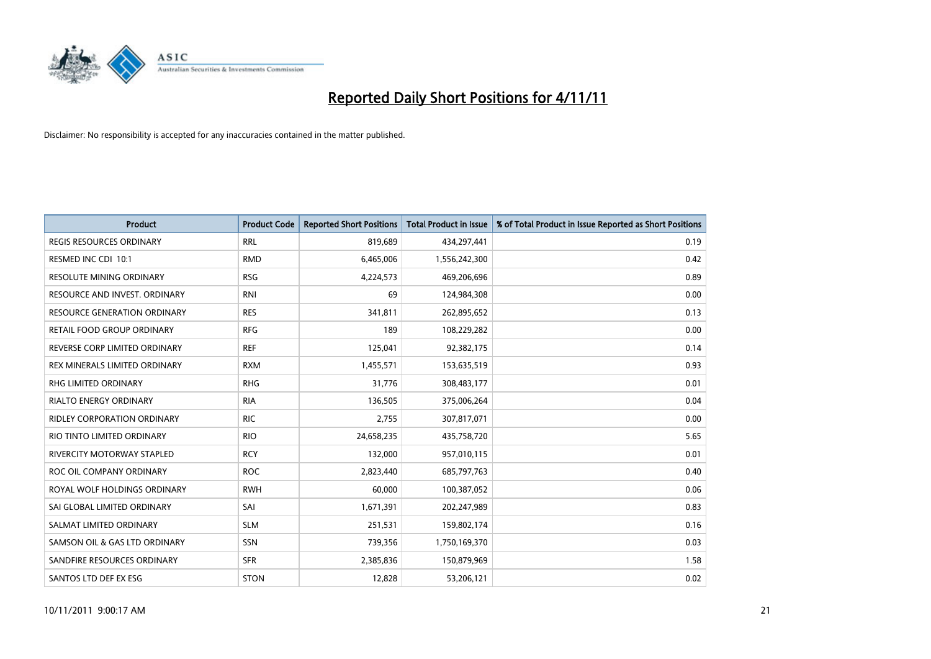

| <b>Product</b>                      | <b>Product Code</b> | <b>Reported Short Positions</b> | <b>Total Product in Issue</b> | % of Total Product in Issue Reported as Short Positions |
|-------------------------------------|---------------------|---------------------------------|-------------------------------|---------------------------------------------------------|
| <b>REGIS RESOURCES ORDINARY</b>     | <b>RRL</b>          | 819,689                         | 434,297,441                   | 0.19                                                    |
| RESMED INC CDI 10:1                 | <b>RMD</b>          | 6,465,006                       | 1,556,242,300                 | 0.42                                                    |
| <b>RESOLUTE MINING ORDINARY</b>     | <b>RSG</b>          | 4,224,573                       | 469,206,696                   | 0.89                                                    |
| RESOURCE AND INVEST. ORDINARY       | <b>RNI</b>          | 69                              | 124,984,308                   | 0.00                                                    |
| <b>RESOURCE GENERATION ORDINARY</b> | <b>RES</b>          | 341,811                         | 262,895,652                   | 0.13                                                    |
| RETAIL FOOD GROUP ORDINARY          | <b>RFG</b>          | 189                             | 108,229,282                   | 0.00                                                    |
| REVERSE CORP LIMITED ORDINARY       | <b>REF</b>          | 125,041                         | 92,382,175                    | 0.14                                                    |
| REX MINERALS LIMITED ORDINARY       | <b>RXM</b>          | 1,455,571                       | 153,635,519                   | 0.93                                                    |
| RHG LIMITED ORDINARY                | <b>RHG</b>          | 31,776                          | 308,483,177                   | 0.01                                                    |
| <b>RIALTO ENERGY ORDINARY</b>       | <b>RIA</b>          | 136,505                         | 375,006,264                   | 0.04                                                    |
| <b>RIDLEY CORPORATION ORDINARY</b>  | <b>RIC</b>          | 2,755                           | 307,817,071                   | 0.00                                                    |
| RIO TINTO LIMITED ORDINARY          | <b>RIO</b>          | 24,658,235                      | 435,758,720                   | 5.65                                                    |
| <b>RIVERCITY MOTORWAY STAPLED</b>   | <b>RCY</b>          | 132,000                         | 957,010,115                   | 0.01                                                    |
| ROC OIL COMPANY ORDINARY            | <b>ROC</b>          | 2,823,440                       | 685,797,763                   | 0.40                                                    |
| ROYAL WOLF HOLDINGS ORDINARY        | <b>RWH</b>          | 60,000                          | 100,387,052                   | 0.06                                                    |
| SAI GLOBAL LIMITED ORDINARY         | SAI                 | 1,671,391                       | 202,247,989                   | 0.83                                                    |
| SALMAT LIMITED ORDINARY             | <b>SLM</b>          | 251,531                         | 159,802,174                   | 0.16                                                    |
| SAMSON OIL & GAS LTD ORDINARY       | SSN                 | 739,356                         | 1,750,169,370                 | 0.03                                                    |
| SANDFIRE RESOURCES ORDINARY         | <b>SFR</b>          | 2,385,836                       | 150,879,969                   | 1.58                                                    |
| SANTOS LTD DEF EX ESG               | <b>STON</b>         | 12,828                          | 53,206,121                    | 0.02                                                    |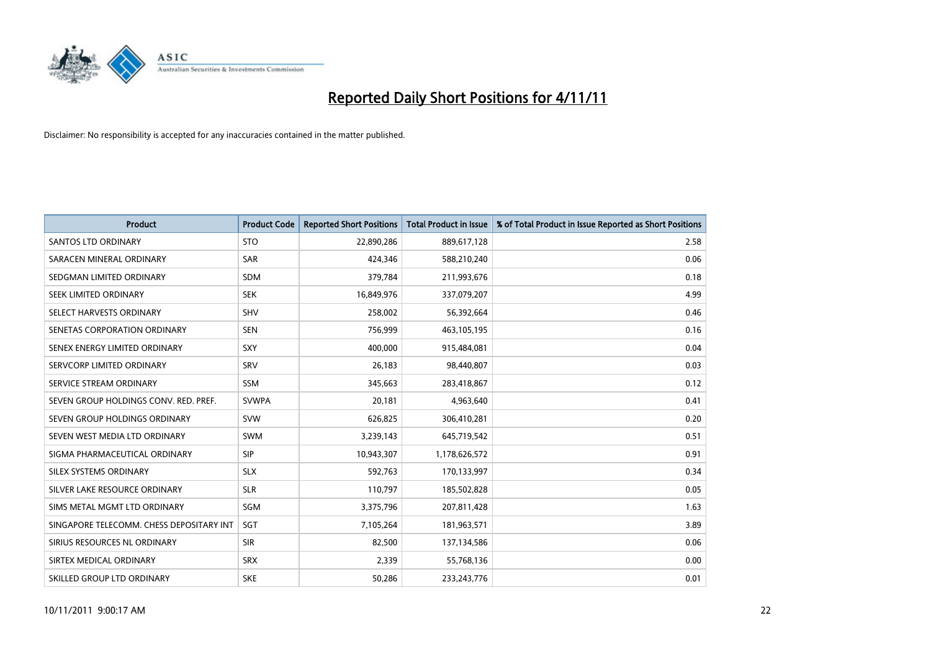

| <b>Product</b>                           | <b>Product Code</b> | <b>Reported Short Positions</b> | <b>Total Product in Issue</b> | % of Total Product in Issue Reported as Short Positions |
|------------------------------------------|---------------------|---------------------------------|-------------------------------|---------------------------------------------------------|
| SANTOS LTD ORDINARY                      | <b>STO</b>          | 22,890,286                      | 889,617,128                   | 2.58                                                    |
| SARACEN MINERAL ORDINARY                 | <b>SAR</b>          | 424.346                         | 588,210,240                   | 0.06                                                    |
| SEDGMAN LIMITED ORDINARY                 | <b>SDM</b>          | 379,784                         | 211,993,676                   | 0.18                                                    |
| SEEK LIMITED ORDINARY                    | <b>SEK</b>          | 16,849,976                      | 337,079,207                   | 4.99                                                    |
| SELECT HARVESTS ORDINARY                 | <b>SHV</b>          | 258,002                         | 56,392,664                    | 0.46                                                    |
| SENETAS CORPORATION ORDINARY             | <b>SEN</b>          | 756,999                         | 463,105,195                   | 0.16                                                    |
| SENEX ENERGY LIMITED ORDINARY            | SXY                 | 400.000                         | 915,484,081                   | 0.04                                                    |
| SERVCORP LIMITED ORDINARY                | SRV                 | 26,183                          | 98,440,807                    | 0.03                                                    |
| SERVICE STREAM ORDINARY                  | <b>SSM</b>          | 345,663                         | 283,418,867                   | 0.12                                                    |
| SEVEN GROUP HOLDINGS CONV. RED. PREF.    | <b>SVWPA</b>        | 20,181                          | 4,963,640                     | 0.41                                                    |
| SEVEN GROUP HOLDINGS ORDINARY            | <b>SVW</b>          | 626,825                         | 306,410,281                   | 0.20                                                    |
| SEVEN WEST MEDIA LTD ORDINARY            | <b>SWM</b>          | 3,239,143                       | 645,719,542                   | 0.51                                                    |
| SIGMA PHARMACEUTICAL ORDINARY            | <b>SIP</b>          | 10,943,307                      | 1,178,626,572                 | 0.91                                                    |
| SILEX SYSTEMS ORDINARY                   | <b>SLX</b>          | 592,763                         | 170,133,997                   | 0.34                                                    |
| SILVER LAKE RESOURCE ORDINARY            | <b>SLR</b>          | 110,797                         | 185,502,828                   | 0.05                                                    |
| SIMS METAL MGMT LTD ORDINARY             | SGM                 | 3,375,796                       | 207,811,428                   | 1.63                                                    |
| SINGAPORE TELECOMM. CHESS DEPOSITARY INT | SGT                 | 7,105,264                       | 181,963,571                   | 3.89                                                    |
| SIRIUS RESOURCES NL ORDINARY             | <b>SIR</b>          | 82,500                          | 137,134,586                   | 0.06                                                    |
| SIRTEX MEDICAL ORDINARY                  | <b>SRX</b>          | 2,339                           | 55,768,136                    | 0.00                                                    |
| SKILLED GROUP LTD ORDINARY               | <b>SKE</b>          | 50,286                          | 233, 243, 776                 | 0.01                                                    |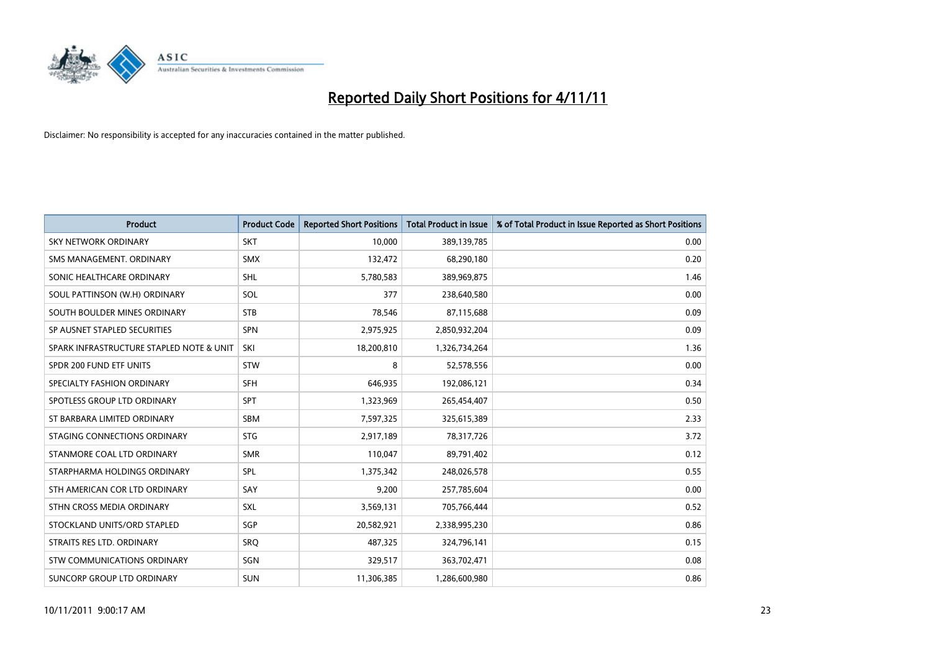

| <b>Product</b>                           | <b>Product Code</b> | <b>Reported Short Positions</b> | <b>Total Product in Issue</b> | % of Total Product in Issue Reported as Short Positions |
|------------------------------------------|---------------------|---------------------------------|-------------------------------|---------------------------------------------------------|
| <b>SKY NETWORK ORDINARY</b>              | <b>SKT</b>          | 10.000                          | 389,139,785                   | 0.00                                                    |
| SMS MANAGEMENT. ORDINARY                 | <b>SMX</b>          | 132,472                         | 68,290,180                    | 0.20                                                    |
| SONIC HEALTHCARE ORDINARY                | <b>SHL</b>          | 5,780,583                       | 389,969,875                   | 1.46                                                    |
| SOUL PATTINSON (W.H) ORDINARY            | SOL                 | 377                             | 238,640,580                   | 0.00                                                    |
| SOUTH BOULDER MINES ORDINARY             | <b>STB</b>          | 78,546                          | 87,115,688                    | 0.09                                                    |
| SP AUSNET STAPLED SECURITIES             | SPN                 | 2,975,925                       | 2,850,932,204                 | 0.09                                                    |
| SPARK INFRASTRUCTURE STAPLED NOTE & UNIT | SKI                 | 18,200,810                      | 1,326,734,264                 | 1.36                                                    |
| SPDR 200 FUND ETF UNITS                  | <b>STW</b>          | 8                               | 52,578,556                    | 0.00                                                    |
| SPECIALTY FASHION ORDINARY               | <b>SFH</b>          | 646,935                         | 192,086,121                   | 0.34                                                    |
| SPOTLESS GROUP LTD ORDINARY              | <b>SPT</b>          | 1,323,969                       | 265,454,407                   | 0.50                                                    |
| ST BARBARA LIMITED ORDINARY              | <b>SBM</b>          | 7,597,325                       | 325,615,389                   | 2.33                                                    |
| STAGING CONNECTIONS ORDINARY             | <b>STG</b>          | 2,917,189                       | 78,317,726                    | 3.72                                                    |
| STANMORE COAL LTD ORDINARY               | <b>SMR</b>          | 110,047                         | 89,791,402                    | 0.12                                                    |
| STARPHARMA HOLDINGS ORDINARY             | SPL                 | 1,375,342                       | 248,026,578                   | 0.55                                                    |
| STH AMERICAN COR LTD ORDINARY            | SAY                 | 9,200                           | 257,785,604                   | 0.00                                                    |
| STHN CROSS MEDIA ORDINARY                | <b>SXL</b>          | 3,569,131                       | 705,766,444                   | 0.52                                                    |
| STOCKLAND UNITS/ORD STAPLED              | <b>SGP</b>          | 20,582,921                      | 2,338,995,230                 | 0.86                                                    |
| STRAITS RES LTD. ORDINARY                | SRQ                 | 487,325                         | 324,796,141                   | 0.15                                                    |
| STW COMMUNICATIONS ORDINARY              | <b>SGN</b>          | 329,517                         | 363,702,471                   | 0.08                                                    |
| SUNCORP GROUP LTD ORDINARY               | <b>SUN</b>          | 11,306,385                      | 1,286,600,980                 | 0.86                                                    |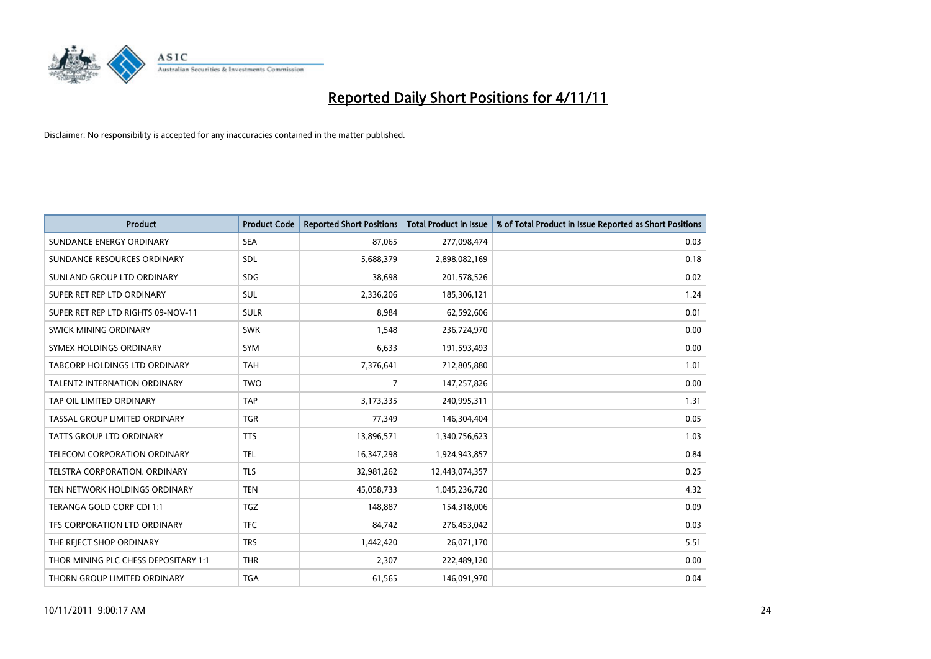

| <b>Product</b>                       | <b>Product Code</b> | <b>Reported Short Positions</b> | <b>Total Product in Issue</b> | % of Total Product in Issue Reported as Short Positions |
|--------------------------------------|---------------------|---------------------------------|-------------------------------|---------------------------------------------------------|
| SUNDANCE ENERGY ORDINARY             | <b>SEA</b>          | 87,065                          | 277,098,474                   | 0.03                                                    |
| SUNDANCE RESOURCES ORDINARY          | <b>SDL</b>          | 5,688,379                       | 2,898,082,169                 | 0.18                                                    |
| SUNLAND GROUP LTD ORDINARY           | <b>SDG</b>          | 38,698                          | 201,578,526                   | 0.02                                                    |
| SUPER RET REP LTD ORDINARY           | SUL                 | 2,336,206                       | 185,306,121                   | 1.24                                                    |
| SUPER RET REP LTD RIGHTS 09-NOV-11   | <b>SULR</b>         | 8.984                           | 62,592,606                    | 0.01                                                    |
| SWICK MINING ORDINARY                | <b>SWK</b>          | 1,548                           | 236,724,970                   | 0.00                                                    |
| SYMEX HOLDINGS ORDINARY              | <b>SYM</b>          | 6.633                           | 191,593,493                   | 0.00                                                    |
| TABCORP HOLDINGS LTD ORDINARY        | <b>TAH</b>          | 7,376,641                       | 712,805,880                   | 1.01                                                    |
| TALENT2 INTERNATION ORDINARY         | <b>TWO</b>          | 7                               | 147,257,826                   | 0.00                                                    |
| TAP OIL LIMITED ORDINARY             | <b>TAP</b>          | 3,173,335                       | 240,995,311                   | 1.31                                                    |
| TASSAL GROUP LIMITED ORDINARY        | <b>TGR</b>          | 77,349                          | 146,304,404                   | 0.05                                                    |
| <b>TATTS GROUP LTD ORDINARY</b>      | <b>TTS</b>          | 13,896,571                      | 1,340,756,623                 | 1.03                                                    |
| TELECOM CORPORATION ORDINARY         | <b>TEL</b>          | 16,347,298                      | 1,924,943,857                 | 0.84                                                    |
| <b>TELSTRA CORPORATION, ORDINARY</b> | <b>TLS</b>          | 32,981,262                      | 12,443,074,357                | 0.25                                                    |
| TEN NETWORK HOLDINGS ORDINARY        | <b>TEN</b>          | 45,058,733                      | 1,045,236,720                 | 4.32                                                    |
| TERANGA GOLD CORP CDI 1:1            | <b>TGZ</b>          | 148,887                         | 154,318,006                   | 0.09                                                    |
| TFS CORPORATION LTD ORDINARY         | <b>TFC</b>          | 84,742                          | 276,453,042                   | 0.03                                                    |
| THE REJECT SHOP ORDINARY             | <b>TRS</b>          | 1,442,420                       | 26,071,170                    | 5.51                                                    |
| THOR MINING PLC CHESS DEPOSITARY 1:1 | <b>THR</b>          | 2.307                           | 222,489,120                   | 0.00                                                    |
| THORN GROUP LIMITED ORDINARY         | <b>TGA</b>          | 61,565                          | 146,091,970                   | 0.04                                                    |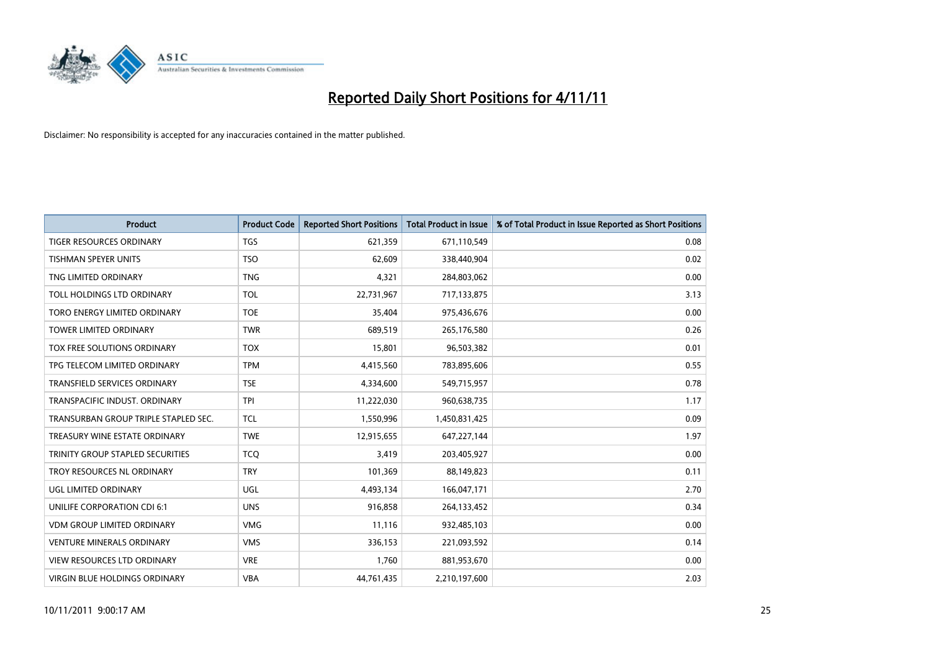

| <b>Product</b>                       | <b>Product Code</b> | <b>Reported Short Positions</b> | <b>Total Product in Issue</b> | % of Total Product in Issue Reported as Short Positions |
|--------------------------------------|---------------------|---------------------------------|-------------------------------|---------------------------------------------------------|
| <b>TIGER RESOURCES ORDINARY</b>      | <b>TGS</b>          | 621,359                         | 671,110,549                   | 0.08                                                    |
| TISHMAN SPEYER UNITS                 | <b>TSO</b>          | 62,609                          | 338,440,904                   | 0.02                                                    |
| TNG LIMITED ORDINARY                 | <b>TNG</b>          | 4,321                           | 284,803,062                   | 0.00                                                    |
| TOLL HOLDINGS LTD ORDINARY           | <b>TOL</b>          | 22,731,967                      | 717,133,875                   | 3.13                                                    |
| TORO ENERGY LIMITED ORDINARY         | <b>TOE</b>          | 35,404                          | 975,436,676                   | 0.00                                                    |
| <b>TOWER LIMITED ORDINARY</b>        | <b>TWR</b>          | 689,519                         | 265,176,580                   | 0.26                                                    |
| TOX FREE SOLUTIONS ORDINARY          | <b>TOX</b>          | 15,801                          | 96,503,382                    | 0.01                                                    |
| TPG TELECOM LIMITED ORDINARY         | <b>TPM</b>          | 4,415,560                       | 783,895,606                   | 0.55                                                    |
| <b>TRANSFIELD SERVICES ORDINARY</b>  | <b>TSE</b>          | 4,334,600                       | 549,715,957                   | 0.78                                                    |
| TRANSPACIFIC INDUST, ORDINARY        | <b>TPI</b>          | 11,222,030                      | 960,638,735                   | 1.17                                                    |
| TRANSURBAN GROUP TRIPLE STAPLED SEC. | <b>TCL</b>          | 1,550,996                       | 1,450,831,425                 | 0.09                                                    |
| TREASURY WINE ESTATE ORDINARY        | <b>TWE</b>          | 12,915,655                      | 647,227,144                   | 1.97                                                    |
| TRINITY GROUP STAPLED SECURITIES     | <b>TCO</b>          | 3,419                           | 203,405,927                   | 0.00                                                    |
| TROY RESOURCES NL ORDINARY           | <b>TRY</b>          | 101,369                         | 88,149,823                    | 0.11                                                    |
| <b>UGL LIMITED ORDINARY</b>          | UGL                 | 4,493,134                       | 166,047,171                   | 2.70                                                    |
| UNILIFE CORPORATION CDI 6:1          | <b>UNS</b>          | 916,858                         | 264,133,452                   | 0.34                                                    |
| <b>VDM GROUP LIMITED ORDINARY</b>    | <b>VMG</b>          | 11,116                          | 932,485,103                   | 0.00                                                    |
| <b>VENTURE MINERALS ORDINARY</b>     | <b>VMS</b>          | 336,153                         | 221,093,592                   | 0.14                                                    |
| VIEW RESOURCES LTD ORDINARY          | <b>VRE</b>          | 1,760                           | 881,953,670                   | 0.00                                                    |
| VIRGIN BLUE HOLDINGS ORDINARY        | <b>VBA</b>          | 44,761,435                      | 2,210,197,600                 | 2.03                                                    |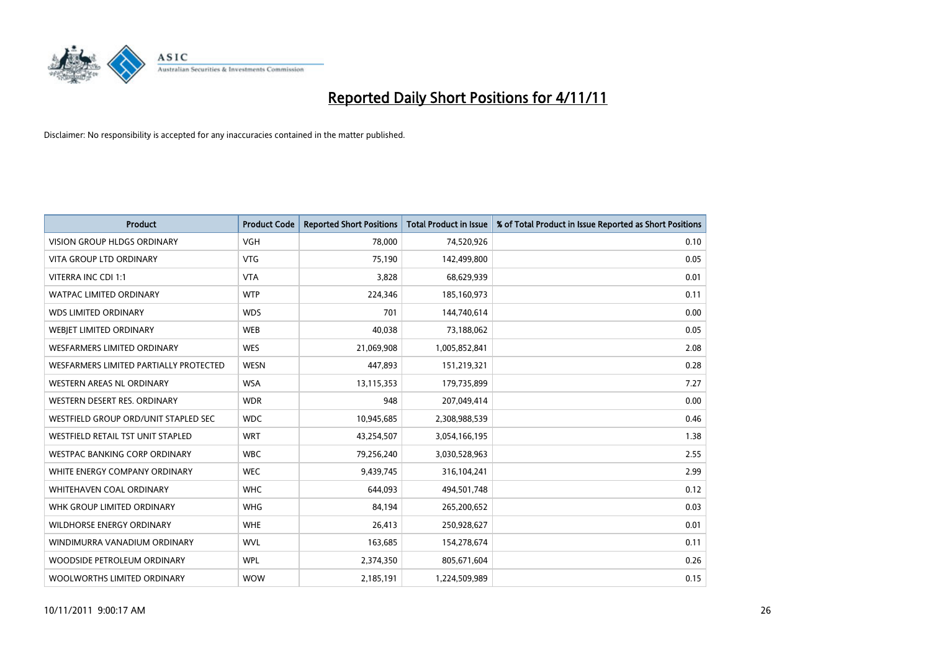

| <b>Product</b>                         | <b>Product Code</b> | <b>Reported Short Positions</b> | <b>Total Product in Issue</b> | % of Total Product in Issue Reported as Short Positions |
|----------------------------------------|---------------------|---------------------------------|-------------------------------|---------------------------------------------------------|
| <b>VISION GROUP HLDGS ORDINARY</b>     | <b>VGH</b>          | 78.000                          | 74,520,926                    | 0.10                                                    |
| <b>VITA GROUP LTD ORDINARY</b>         | <b>VTG</b>          | 75,190                          | 142,499,800                   | 0.05                                                    |
| VITERRA INC CDI 1:1                    | <b>VTA</b>          | 3,828                           | 68,629,939                    | 0.01                                                    |
| <b>WATPAC LIMITED ORDINARY</b>         | <b>WTP</b>          | 224,346                         | 185,160,973                   | 0.11                                                    |
| <b>WDS LIMITED ORDINARY</b>            | <b>WDS</b>          | 701                             | 144,740,614                   | 0.00                                                    |
| WEBIET LIMITED ORDINARY                | <b>WEB</b>          | 40,038                          | 73,188,062                    | 0.05                                                    |
| <b>WESFARMERS LIMITED ORDINARY</b>     | <b>WES</b>          | 21,069,908                      | 1,005,852,841                 | 2.08                                                    |
| WESFARMERS LIMITED PARTIALLY PROTECTED | <b>WESN</b>         | 447,893                         | 151,219,321                   | 0.28                                                    |
| WESTERN AREAS NL ORDINARY              | <b>WSA</b>          | 13,115,353                      | 179,735,899                   | 7.27                                                    |
| WESTERN DESERT RES. ORDINARY           | <b>WDR</b>          | 948                             | 207,049,414                   | 0.00                                                    |
| WESTFIELD GROUP ORD/UNIT STAPLED SEC   | <b>WDC</b>          | 10,945,685                      | 2,308,988,539                 | 0.46                                                    |
| WESTFIELD RETAIL TST UNIT STAPLED      | <b>WRT</b>          | 43,254,507                      | 3,054,166,195                 | 1.38                                                    |
| <b>WESTPAC BANKING CORP ORDINARY</b>   | <b>WBC</b>          | 79,256,240                      | 3,030,528,963                 | 2.55                                                    |
| WHITE ENERGY COMPANY ORDINARY          | <b>WEC</b>          | 9,439,745                       | 316,104,241                   | 2.99                                                    |
| <b>WHITEHAVEN COAL ORDINARY</b>        | <b>WHC</b>          | 644.093                         | 494,501,748                   | 0.12                                                    |
| WHK GROUP LIMITED ORDINARY             | <b>WHG</b>          | 84,194                          | 265,200,652                   | 0.03                                                    |
| <b>WILDHORSE ENERGY ORDINARY</b>       | <b>WHE</b>          | 26,413                          | 250,928,627                   | 0.01                                                    |
| WINDIMURRA VANADIUM ORDINARY           | <b>WVL</b>          | 163,685                         | 154,278,674                   | 0.11                                                    |
| WOODSIDE PETROLEUM ORDINARY            | <b>WPL</b>          | 2,374,350                       | 805,671,604                   | 0.26                                                    |
| WOOLWORTHS LIMITED ORDINARY            | <b>WOW</b>          | 2,185,191                       | 1,224,509,989                 | 0.15                                                    |